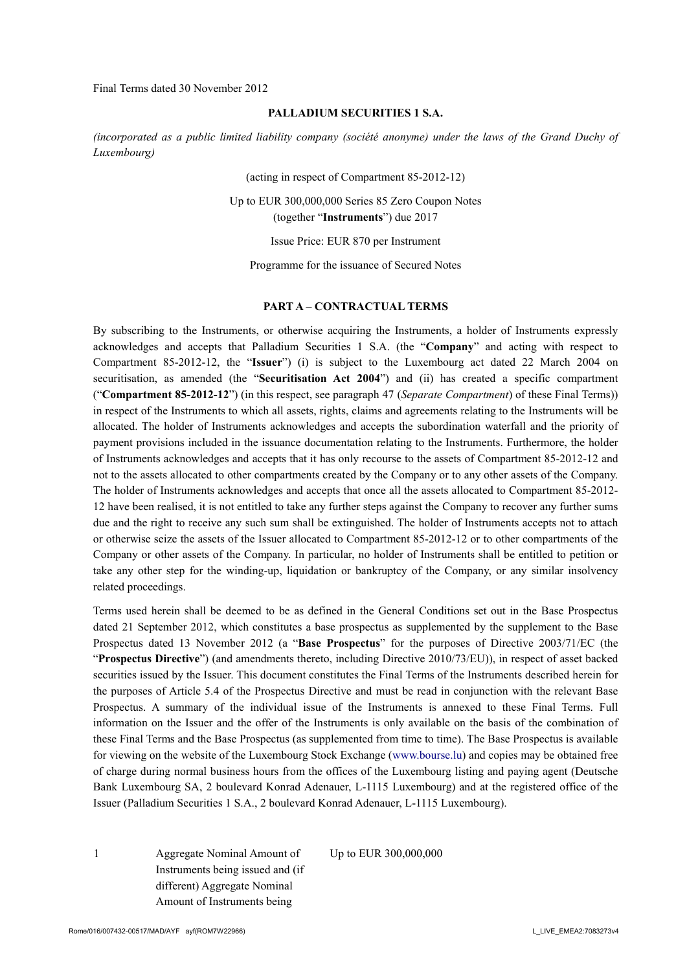Final Terms dated 30 November 2012

#### **PALLADIUM SECURITIES 1 S.A.**

*(incorporated as a public limited liability company (société anonyme) under the laws of the Grand Duchy of Luxembourg)*

(acting in respect of Compartment 85-2012-12)

Up to EUR 300,000,000 Series 85 Zero Coupon Notes (together "**Instruments**") due 2017

Issue Price: EUR 870 per Instrument

Programme for the issuance of Secured Notes

#### **PART A – CONTRACTUAL TERMS**

By subscribing to the Instruments, or otherwise acquiring the Instruments, a holder of Instruments expressly acknowledges and accepts that Palladium Securities 1 S.A. (the "**Company**" and acting with respect to Compartment 85-2012-12, the "**Issuer**") (i) is subject to the Luxembourg act dated 22 March 2004 on securitisation, as amended (the "**Securitisation Act 2004**") and (ii) has created a specific compartment ("**Compartment 85-2012-12**") (in this respect, see paragraph 47 (*Separate Compartment*) of these Final Terms)) in respect of the Instruments to which all assets, rights, claims and agreements relating to the Instruments will be allocated. The holder of Instruments acknowledges and accepts the subordination waterfall and the priority of payment provisions included in the issuance documentation relating to the Instruments. Furthermore, the holder of Instruments acknowledges and accepts that it has only recourse to the assets of Compartment 85-2012-12 and not to the assets allocated to other compartments created by the Company or to any other assets of the Company. The holder of Instruments acknowledges and accepts that once all the assets allocated to Compartment 85-2012- 12 have been realised, it is not entitled to take any further steps against the Company to recover any further sums due and the right to receive any such sum shall be extinguished. The holder of Instruments accepts not to attach or otherwise seize the assets of the Issuer allocated to Compartment 85-2012-12 or to other compartments of the Company or other assets of the Company. In particular, no holder of Instruments shall be entitled to petition or take any other step for the winding-up, liquidation or bankruptcy of the Company, or any similar insolvency related proceedings.

Terms used herein shall be deemed to be as defined in the General Conditions set out in the Base Prospectus dated 21 September 2012, which constitutes a base prospectus as supplemented by the supplement to the Base Prospectus dated 13 November 2012 (a "**Base Prospectus**" for the purposes of Directive 2003/71/EC (the "**Prospectus Directive**") (and amendments thereto, including Directive 2010/73/EU)), in respect of asset backed securities issued by the Issuer. This document constitutes the Final Terms of the Instruments described herein for the purposes of Article 5.4 of the Prospectus Directive and must be read in conjunction with the relevant Base Prospectus. A summary of the individual issue of the Instruments is annexed to these Final Terms. Full information on the Issuer and the offer of the Instruments is only available on the basis of the combination of these Final Terms and the Base Prospectus (as supplemented from time to time). The Base Prospectus is available for viewing on the website of the Luxembourg Stock Exchange (www.bourse.lu) and copies may be obtained free of charge during normal business hours from the offices of the Luxembourg listing and paying agent (Deutsche Bank Luxembourg SA, 2 boulevard Konrad Adenauer, L-1115 Luxembourg) and at the registered office of the Issuer (Palladium Securities 1 S.A., 2 boulevard Konrad Adenauer, L-1115 Luxembourg).

1 Aggregate Nominal Amount of Instruments being issued and (if different) Aggregate Nominal Amount of Instruments being

Up to EUR 300,000,000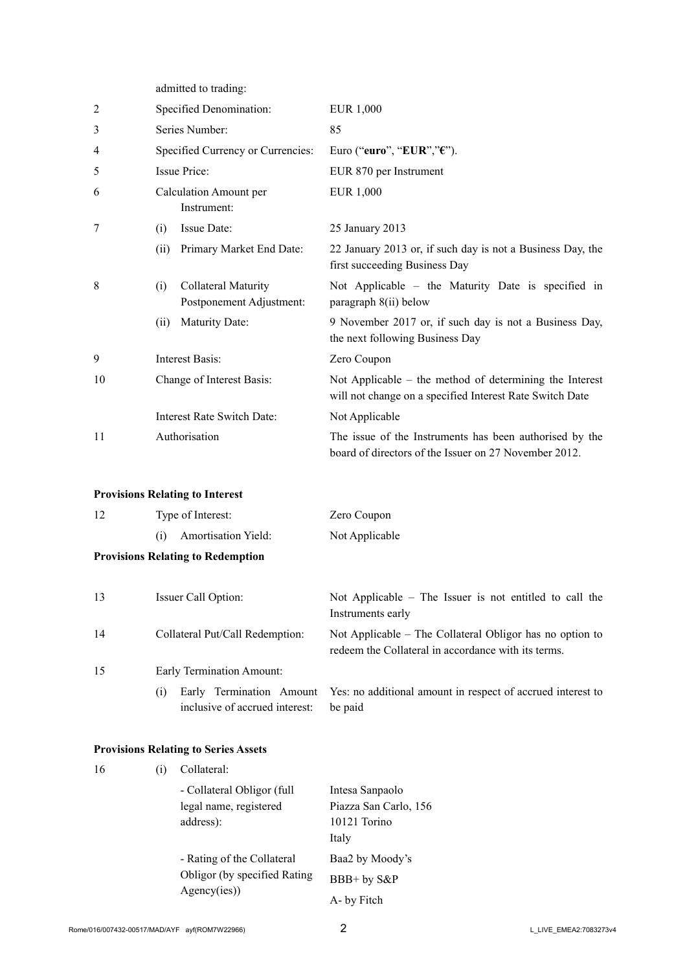admitted to trading:

| $\overline{2}$ | Specified Denomination:               |                                                 | <b>EUR 1,000</b>                                                                                                    |
|----------------|---------------------------------------|-------------------------------------------------|---------------------------------------------------------------------------------------------------------------------|
| 3              | Series Number:                        |                                                 | 85                                                                                                                  |
| $\overline{4}$ |                                       | Specified Currency or Currencies:               | Euro ("euro", "EUR"," $\varepsilon$ ").                                                                             |
| 5              |                                       | Issue Price:                                    | EUR 870 per Instrument                                                                                              |
| 6              | Calculation Amount per<br>Instrument: |                                                 | EUR 1,000                                                                                                           |
| 7              | (i)                                   | Issue Date:                                     | 25 January 2013                                                                                                     |
|                | (ii)                                  | Primary Market End Date:                        | 22 January 2013 or, if such day is not a Business Day, the<br>first succeeding Business Day                         |
| 8              | (i)                                   | Collateral Maturity<br>Postponement Adjustment: | Not Applicable – the Maturity Date is specified in<br>paragraph 8(ii) below                                         |
|                | (ii)                                  | Maturity Date:                                  | 9 November 2017 or, if such day is not a Business Day,<br>the next following Business Day                           |
| 9              | Interest Basis:                       |                                                 | Zero Coupon                                                                                                         |
| 10             | Change of Interest Basis:             |                                                 | Not Applicable – the method of determining the Interest<br>will not change on a specified Interest Rate Switch Date |
|                |                                       | <b>Interest Rate Switch Date:</b>               | Not Applicable                                                                                                      |
| 11             |                                       | Authorisation                                   | The issue of the Instruments has been authorised by the<br>board of directors of the Issuer on 27 November 2012.    |

# **Provisions Relating to Interest**

| Type of Interest: |                                          | Zero Coupon    |
|-------------------|------------------------------------------|----------------|
| (1)               | <b>Amortisation Yield:</b>               | Not Applicable |
|                   | <b>Provisions Relating to Redemption</b> |                |

| 13 | Issuer Call Option:                   | Not Applicable $-$ The Issuer is not entitled to call the<br>Instruments early                                  |
|----|---------------------------------------|-----------------------------------------------------------------------------------------------------------------|
| 14 | Collateral Put/Call Redemption:       | Not Applicable – The Collateral Obligor has no option to<br>redeem the Collateral in accordance with its terms. |
| 15 | Early Termination Amount:             |                                                                                                                 |
|    | (1)<br>inclusive of accrued interest: | Early Termination Amount Yes: no additional amount in respect of accrued interest to<br>be paid                 |

## **Provisions Relating to Series Assets**

| 16 | (1) | Collateral:                                           |                                          |  |  |
|----|-----|-------------------------------------------------------|------------------------------------------|--|--|
|    |     | - Collateral Obligor (full)<br>legal name, registered | Intesa Sanpaolo<br>Piazza San Carlo, 156 |  |  |
|    |     | address):                                             | 10121 Torino<br>Italy                    |  |  |
|    |     | - Rating of the Collateral                            | Baa2 by Moody's                          |  |  |
|    |     | Obligor (by specified Rating                          | BBB+ by S&P                              |  |  |
|    |     | Agency(ies))                                          | A- by Fitch                              |  |  |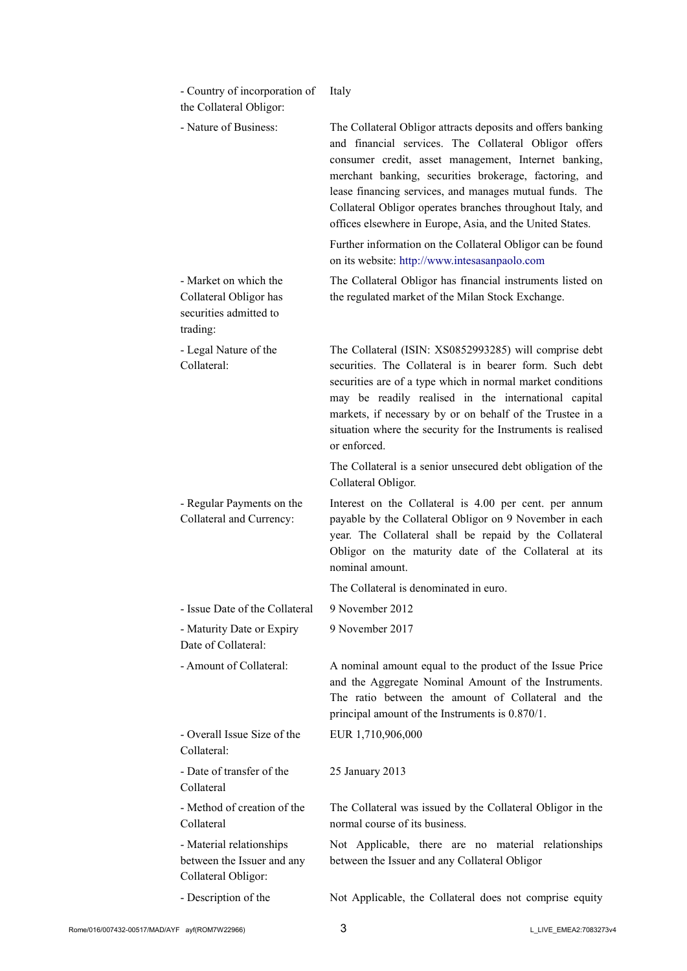| - Country of incorporation of<br>the Collateral Obligor:                              | Italy                                                                                                                                                                                                                                                                                                                                                                                                                        |
|---------------------------------------------------------------------------------------|------------------------------------------------------------------------------------------------------------------------------------------------------------------------------------------------------------------------------------------------------------------------------------------------------------------------------------------------------------------------------------------------------------------------------|
| - Nature of Business:                                                                 | The Collateral Obligor attracts deposits and offers banking<br>and financial services. The Collateral Obligor offers<br>consumer credit, asset management, Internet banking,<br>merchant banking, securities brokerage, factoring, and<br>lease financing services, and manages mutual funds. The<br>Collateral Obligor operates branches throughout Italy, and<br>offices elsewhere in Europe, Asia, and the United States. |
|                                                                                       | Further information on the Collateral Obligor can be found<br>on its website: http://www.intesasanpaolo.com                                                                                                                                                                                                                                                                                                                  |
| - Market on which the<br>Collateral Obligor has<br>securities admitted to<br>trading: | The Collateral Obligor has financial instruments listed on<br>the regulated market of the Milan Stock Exchange.                                                                                                                                                                                                                                                                                                              |
| - Legal Nature of the<br>Collateral:                                                  | The Collateral (ISIN: XS0852993285) will comprise debt<br>securities. The Collateral is in bearer form. Such debt<br>securities are of a type which in normal market conditions<br>may be readily realised in the international capital<br>markets, if necessary by or on behalf of the Trustee in a<br>situation where the security for the Instruments is realised<br>or enforced.                                         |
|                                                                                       | The Collateral is a senior unsecured debt obligation of the<br>Collateral Obligor.                                                                                                                                                                                                                                                                                                                                           |
| - Regular Payments on the<br>Collateral and Currency:                                 | Interest on the Collateral is 4.00 per cent. per annum<br>payable by the Collateral Obligor on 9 November in each<br>year. The Collateral shall be repaid by the Collateral<br>Obligor on the maturity date of the Collateral at its<br>nominal amount.                                                                                                                                                                      |
|                                                                                       | The Collateral is denominated in euro.                                                                                                                                                                                                                                                                                                                                                                                       |
| - Issue Date of the Collateral                                                        | 9 November 2012                                                                                                                                                                                                                                                                                                                                                                                                              |
| - Maturity Date or Expiry<br>Date of Collateral:                                      | 9 November 2017                                                                                                                                                                                                                                                                                                                                                                                                              |
| - Amount of Collateral:                                                               | A nominal amount equal to the product of the Issue Price<br>and the Aggregate Nominal Amount of the Instruments.<br>The ratio between the amount of Collateral and the<br>principal amount of the Instruments is 0.870/1.                                                                                                                                                                                                    |
| - Overall Issue Size of the<br>Collateral:                                            | EUR 1,710,906,000                                                                                                                                                                                                                                                                                                                                                                                                            |
| - Date of transfer of the<br>Collateral                                               | 25 January 2013                                                                                                                                                                                                                                                                                                                                                                                                              |
|                                                                                       |                                                                                                                                                                                                                                                                                                                                                                                                                              |
| - Method of creation of the<br>Collateral                                             | The Collateral was issued by the Collateral Obligor in the<br>normal course of its business.                                                                                                                                                                                                                                                                                                                                 |
| - Material relationships<br>between the Issuer and any<br>Collateral Obligor:         | Not Applicable, there are no material relationships<br>between the Issuer and any Collateral Obligor                                                                                                                                                                                                                                                                                                                         |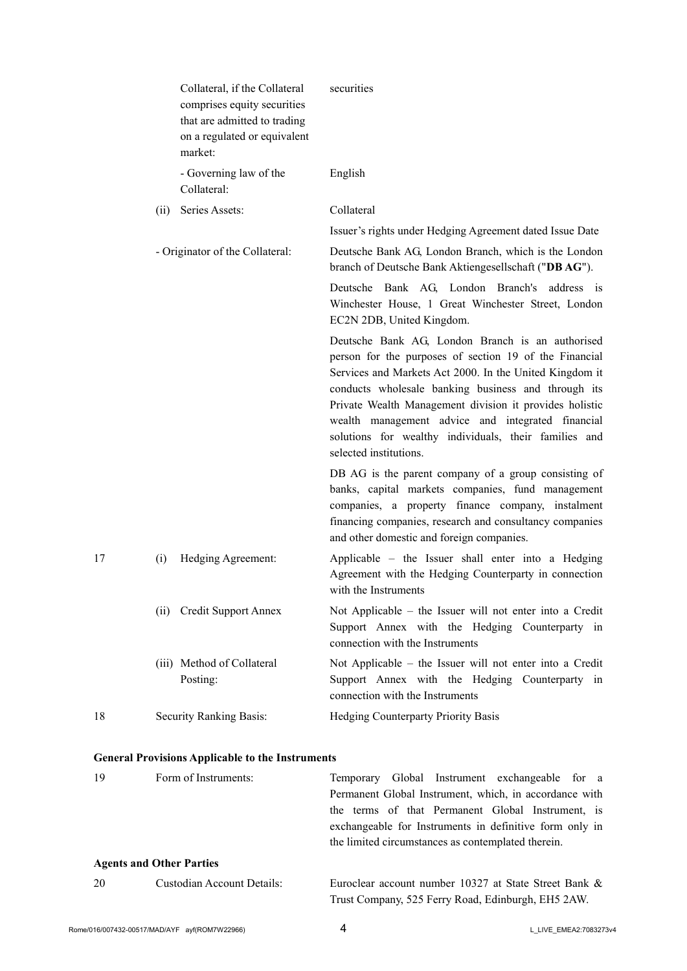|    | Collateral, if the Collateral<br>comprises equity securities<br>that are admitted to trading<br>on a regulated or equivalent<br>market: | securities                                                                                                                                                                                                                                                                                                                                                                                                                      |
|----|-----------------------------------------------------------------------------------------------------------------------------------------|---------------------------------------------------------------------------------------------------------------------------------------------------------------------------------------------------------------------------------------------------------------------------------------------------------------------------------------------------------------------------------------------------------------------------------|
|    | - Governing law of the<br>Collateral:                                                                                                   | English                                                                                                                                                                                                                                                                                                                                                                                                                         |
|    | Series Assets:<br>(ii)                                                                                                                  | Collateral                                                                                                                                                                                                                                                                                                                                                                                                                      |
|    |                                                                                                                                         | Issuer's rights under Hedging Agreement dated Issue Date                                                                                                                                                                                                                                                                                                                                                                        |
|    | - Originator of the Collateral:                                                                                                         | Deutsche Bank AG, London Branch, which is the London<br>branch of Deutsche Bank Aktiengesellschaft ("DB AG").                                                                                                                                                                                                                                                                                                                   |
|    |                                                                                                                                         | Deutsche Bank AG, London Branch's address is<br>Winchester House, 1 Great Winchester Street, London<br>EC2N 2DB, United Kingdom.                                                                                                                                                                                                                                                                                                |
|    |                                                                                                                                         | Deutsche Bank AG, London Branch is an authorised<br>person for the purposes of section 19 of the Financial<br>Services and Markets Act 2000. In the United Kingdom it<br>conducts wholesale banking business and through its<br>Private Wealth Management division it provides holistic<br>wealth management advice and integrated financial<br>solutions for wealthy individuals, their families and<br>selected institutions. |
|    |                                                                                                                                         | DB AG is the parent company of a group consisting of<br>banks, capital markets companies, fund management<br>companies, a property finance company, instalment<br>financing companies, research and consultancy companies<br>and other domestic and foreign companies.                                                                                                                                                          |
| 17 | Hedging Agreement:<br>(i)                                                                                                               | Applicable – the Issuer shall enter into a Hedging<br>Agreement with the Hedging Counterparty in connection<br>with the Instruments                                                                                                                                                                                                                                                                                             |
|    | (ii) Credit Support Annex                                                                                                               | Not Applicable - the Issuer will not enter into a Credit<br>Support Annex with the Hedging Counterparty in<br>connection with the Instruments                                                                                                                                                                                                                                                                                   |
|    | (iii) Method of Collateral<br>Posting:                                                                                                  | Not Applicable – the Issuer will not enter into a Credit<br>Support Annex with the Hedging Counterparty in<br>connection with the Instruments                                                                                                                                                                                                                                                                                   |
| 18 | Security Ranking Basis:                                                                                                                 | Hedging Counterparty Priority Basis                                                                                                                                                                                                                                                                                                                                                                                             |
|    |                                                                                                                                         |                                                                                                                                                                                                                                                                                                                                                                                                                                 |
| 19 | <b>General Provisions Applicable to the Instruments</b><br>Form of Instruments:                                                         |                                                                                                                                                                                                                                                                                                                                                                                                                                 |
|    |                                                                                                                                         | Temporary Global Instrument exchangeable for<br>a a<br>Permanent Global Instrument, which, in accordance with<br>the terms of that Permanent Global Instrument, is<br>exchangeable for Instruments in definitive form only in                                                                                                                                                                                                   |

## **Agents and Other Parties**

| 20 | Custodian Account Details: | Euroclear account number 10327 at State Street Bank & |
|----|----------------------------|-------------------------------------------------------|
|    |                            | Trust Company, 525 Ferry Road, Edinburgh, EH5 2AW.    |

the limited circumstances as contemplated therein.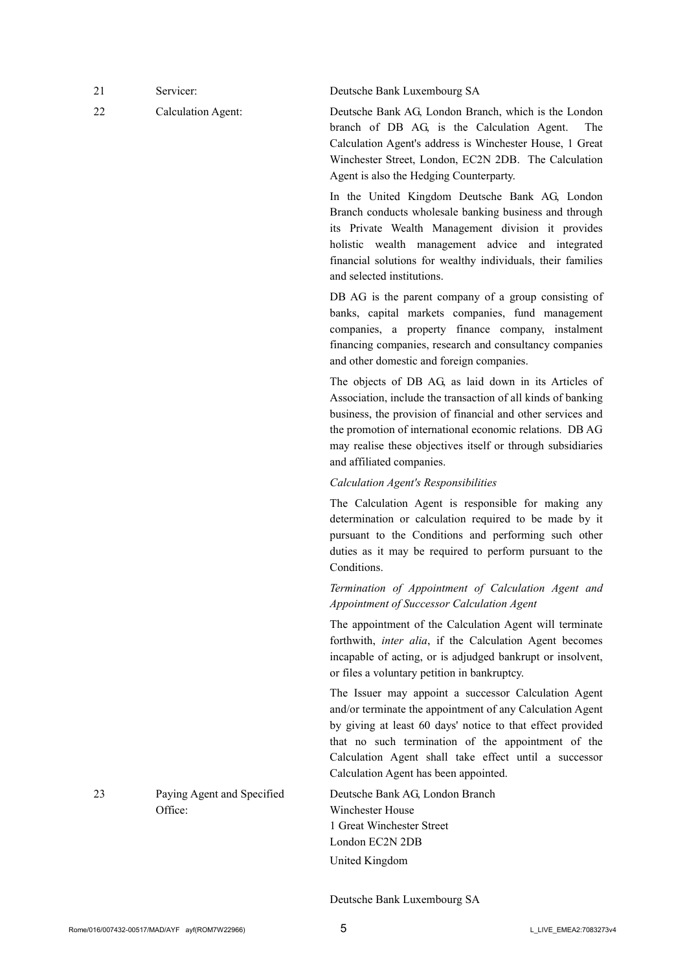| Servicer: | Deutsche Bank Luxembourg SA                                                                                                                                                                                                               |
|-----------|-------------------------------------------------------------------------------------------------------------------------------------------------------------------------------------------------------------------------------------------|
| $C-1-1-1$ | $\mathbf{D}_{\text{total}}$ , $\mathbf{D}_{\text{total}}$ , $\mathbf{A} \mathbf{C}$ , $\mathbf{I}_{\text{total}}$ , $\mathbf{D}_{\text{total}}$ , $\mathbf{L}_{\text{total}}$ , $\mathbf{L}_{\text{total}}$ , $\mathbf{I}_{\text{total}}$ |

22 Calculation Agent: Deutsche Bank AG, London Branch, which is the London branch of DB AG, is the Calculation Agent. The Calculation Agent's address is Winchester House, 1 Great Winchester Street, London, EC2N 2DB. The Calculation Agent is also the Hedging Counterparty.

> In the United Kingdom Deutsche Bank AG, London Branch conducts wholesale banking business and through its Private Wealth Management division it provides holistic wealth management advice and integrated financial solutions for wealthy individuals, their families and selected institutions.

> DB AG is the parent company of a group consisting of banks, capital markets companies, fund management companies, a property finance company, instalment financing companies, research and consultancy companies and other domestic and foreign companies.

> The objects of DB AG, as laid down in its Articles of Association, include the transaction of all kinds of banking business, the provision of financial and other services and the promotion of international economic relations. DB AG may realise these objectives itself or through subsidiaries and affiliated companies.

### *Calculation Agent's Responsibilities*

The Calculation Agent is responsible for making any determination or calculation required to be made by it pursuant to the Conditions and performing such other duties as it may be required to perform pursuant to the **Conditions** 

*Termination of Appointment of Calculation Agent and Appointment of Successor Calculation Agent*

The appointment of the Calculation Agent will terminate forthwith, *inter alia*, if the Calculation Agent becomes incapable of acting, or is adjudged bankrupt or insolvent, or files a voluntary petition in bankruptcy.

The Issuer may appoint a successor Calculation Agent and/or terminate the appointment of any Calculation Agent by giving at least 60 days' notice to that effect provided that no such termination of the appointment of the Calculation Agent shall take effect until a successor Calculation Agent has been appointed.

Deutsche Bank AG, London Branch Winchester House 1 Great Winchester Street London EC2N 2DB United Kingdom

Deutsche Bank Luxembourg SA

Office:

23 Paying Agent and Specified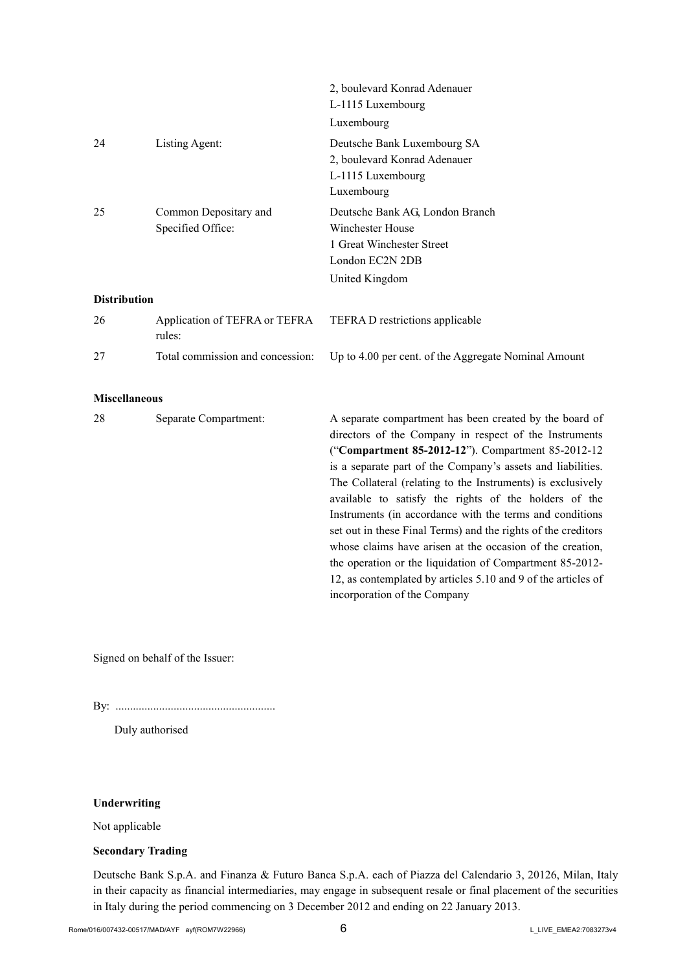|                     |                                            | 2, boulevard Konrad Adenauer<br>L-1115 Luxembourg                                                                     |
|---------------------|--------------------------------------------|-----------------------------------------------------------------------------------------------------------------------|
|                     |                                            | Luxembourg                                                                                                            |
| 24                  | Listing Agent:                             | Deutsche Bank Luxembourg SA<br>2, boulevard Konrad Adenauer<br>L-1115 Luxembourg<br>Luxembourg                        |
| 25                  | Common Depositary and<br>Specified Office: | Deutsche Bank AG, London Branch<br>Winchester House<br>1 Great Winchester Street<br>London EC2N 2DB<br>United Kingdom |
| <b>Distribution</b> |                                            |                                                                                                                       |
| 26                  | Application of TEFRA or TEFRA<br>rules:    | TEFRA D restrictions applicable                                                                                       |
| 27                  | Total commission and concession:           | Up to 4.00 per cent. of the Aggregate Nominal Amount                                                                  |
|                     |                                            |                                                                                                                       |

## **Miscellaneous**

| 28 | Separate Compartment: | A separate compartment has been created by the board of       |
|----|-----------------------|---------------------------------------------------------------|
|    |                       | directors of the Company in respect of the Instruments        |
|    |                       | ("Compartment 85-2012-12"). Compartment 85-2012-12            |
|    |                       | is a separate part of the Company's assets and liabilities.   |
|    |                       | The Collateral (relating to the Instruments) is exclusively   |
|    |                       | available to satisfy the rights of the holders of the         |
|    |                       | Instruments (in accordance with the terms and conditions      |
|    |                       | set out in these Final Terms) and the rights of the creditors |
|    |                       | whose claims have arisen at the occasion of the creation,     |
|    |                       | the operation or the liquidation of Compartment 85-2012-      |
|    |                       | 12, as contemplated by articles 5.10 and 9 of the articles of |
|    |                       | incorporation of the Company                                  |

Signed on behalf of the Issuer:

By: .......................................................

Duly authorised

## **Underwriting**

Not applicable

### **Secondary Trading**

Deutsche Bank S.p.A. and Finanza & Futuro Banca S.p.A. each of Piazza del Calendario 3, 20126, Milan, Italy in their capacity as financial intermediaries, may engage in subsequent resale or final placement of the securities in Italy during the period commencing on 3 December 2012 and ending on 22 January 2013.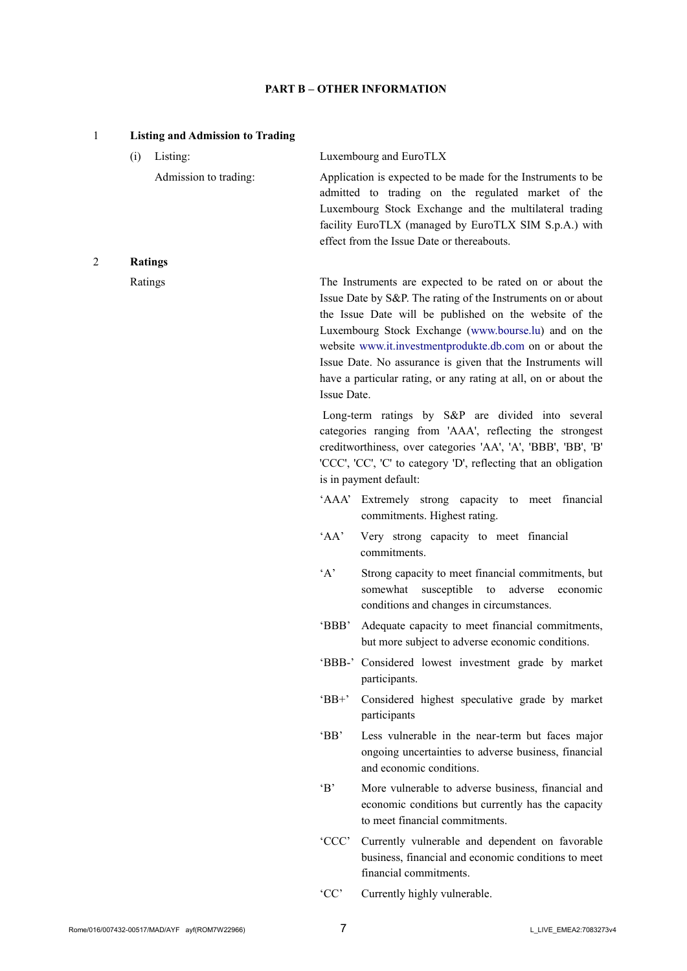## **PART B – OTHER INFORMATION**

| $\mathbf{1}$   |                | <b>Listing and Admission to Trading</b> |              |                                                                                                                                                                                                                                                                                                                                                                                                                                          |
|----------------|----------------|-----------------------------------------|--------------|------------------------------------------------------------------------------------------------------------------------------------------------------------------------------------------------------------------------------------------------------------------------------------------------------------------------------------------------------------------------------------------------------------------------------------------|
|                | (i)            | Listing:                                |              | Luxembourg and EuroTLX                                                                                                                                                                                                                                                                                                                                                                                                                   |
|                |                | Admission to trading:                   |              | Application is expected to be made for the Instruments to be<br>admitted to trading on the regulated market of the<br>Luxembourg Stock Exchange and the multilateral trading<br>facility EuroTLX (managed by EuroTLX SIM S.p.A.) with<br>effect from the Issue Date or thereabouts.                                                                                                                                                      |
| $\overline{2}$ | <b>Ratings</b> |                                         |              |                                                                                                                                                                                                                                                                                                                                                                                                                                          |
|                | Ratings        |                                         | Issue Date.  | The Instruments are expected to be rated on or about the<br>Issue Date by S&P. The rating of the Instruments on or about<br>the Issue Date will be published on the website of the<br>Luxembourg Stock Exchange (www.bourse.lu) and on the<br>website www.it.investmentprodukte.db.com on or about the<br>Issue Date. No assurance is given that the Instruments will<br>have a particular rating, or any rating at all, on or about the |
|                |                |                                         |              | Long-term ratings by S&P are divided into several<br>categories ranging from 'AAA', reflecting the strongest<br>creditworthiness, over categories 'AA', 'A', 'BBB', 'BB', 'B'<br>'CCC', 'CC', 'C' to category 'D', reflecting that an obligation<br>is in payment default:                                                                                                                                                               |
|                |                |                                         |              | 'AAA' Extremely strong capacity to meet financial<br>commitments. Highest rating.                                                                                                                                                                                                                                                                                                                                                        |
|                |                |                                         | 'AA'         | Very strong capacity to meet financial<br>commitments.                                                                                                                                                                                                                                                                                                                                                                                   |
|                |                |                                         | A            | Strong capacity to meet financial commitments, but<br>susceptible to adverse<br>somewhat<br>economic<br>conditions and changes in circumstances.                                                                                                                                                                                                                                                                                         |
|                |                |                                         | 'BBB'        | Adequate capacity to meet financial commitments,<br>but more subject to adverse economic conditions.                                                                                                                                                                                                                                                                                                                                     |
|                |                |                                         |              | 'BBB-' Considered lowest investment grade by market<br>participants.                                                                                                                                                                                                                                                                                                                                                                     |
|                |                |                                         | $B^+$        | Considered highest speculative grade by market<br>participants                                                                                                                                                                                                                                                                                                                                                                           |
|                |                |                                         | $B^{\prime}$ | Less vulnerable in the near-term but faces major<br>ongoing uncertainties to adverse business, financial<br>and economic conditions.                                                                                                                                                                                                                                                                                                     |
|                |                |                                         | $\Delta$     | More vulnerable to adverse business, financial and<br>economic conditions but currently has the capacity<br>to meet financial commitments.                                                                                                                                                                                                                                                                                               |
|                |                |                                         | 'CCC'        | Currently vulnerable and dependent on favorable<br>business, financial and economic conditions to meet<br>financial commitments.                                                                                                                                                                                                                                                                                                         |
|                |                |                                         | 'CC'         | Currently highly vulnerable.                                                                                                                                                                                                                                                                                                                                                                                                             |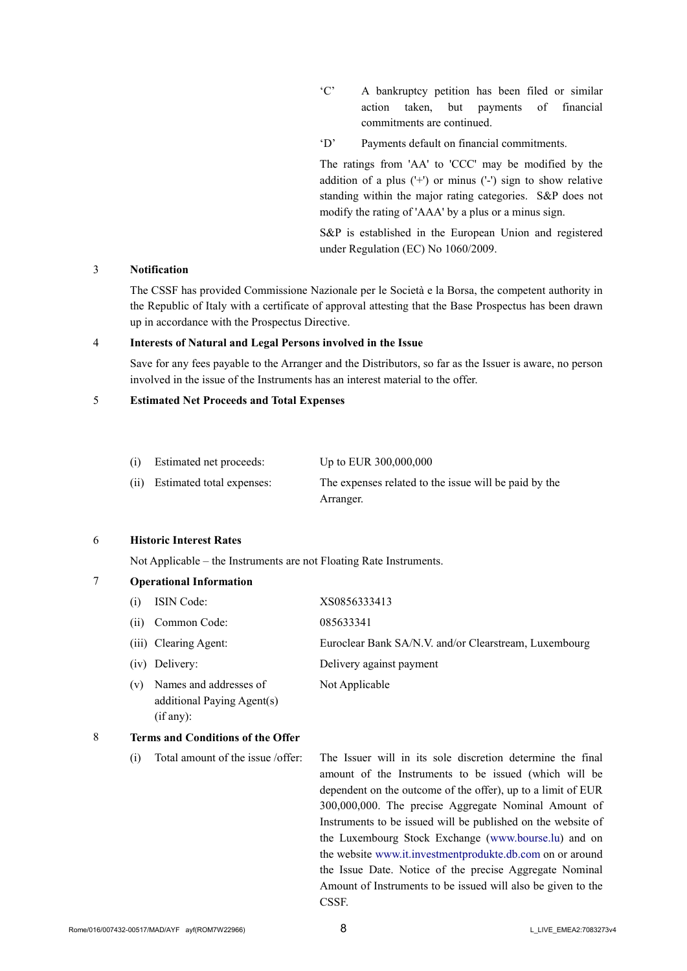- 'C' A bankruptcy petition has been filed or similar action taken, but payments of financial commitments are continued.
- 'D' Payments default on financial commitments.

The ratings from 'AA' to 'CCC' may be modified by the addition of a plus  $(1+1)$  or minus  $(1-1)$  sign to show relative standing within the major rating categories. S&P does not modify the rating of 'AAA' by a plus or a minus sign.

S&P is established in the European Union and registered under Regulation (EC) No 1060/2009.

### 3 **Notification**

The CSSF has provided Commissione Nazionale per le Società e la Borsa, the competent authority in the Republic of Italy with a certificate of approval attesting that the Base Prospectus has been drawn up in accordance with the Prospectus Directive.

#### 4 **Interests of Natural and Legal Persons involved in the Issue**

Save for any fees payable to the Arranger and the Distributors, so far as the Issuer is aware, no person involved in the issue of the Instruments has an interest material to the offer.

## 5 **Estimated Net Proceeds and Total Expenses**

| (i) Estimated net proceeds:    | Up to EUR 300,000,000                                 |
|--------------------------------|-------------------------------------------------------|
| (ii) Estimated total expenses: | The expenses related to the issue will be paid by the |
|                                | Arranger.                                             |

### 6 **Historic Interest Rates**

Not Applicable – the Instruments are not Floating Rate Instruments.

|  | <b>Operational Information</b> |
|--|--------------------------------|
|--|--------------------------------|

| (i) | <b>ISIN Code:</b>                                    | XS0856333413                                          |
|-----|------------------------------------------------------|-------------------------------------------------------|
|     | (ii) Common Code:                                    | 085633341                                             |
|     | (iii) Clearing Agent:                                | Euroclear Bank SA/N.V. and/or Clearstream, Luxembourg |
|     | (iv) Delivery:                                       | Delivery against payment                              |
| (v) | Names and addresses of<br>additional Paying Agent(s) | Not Applicable                                        |

#### 8 **Terms and Conditions of the Offer**

(if any):

(i) Total amount of the issue /offer: The Issuer will in its sole discretion determine the final amount of the Instruments to be issued (which will be dependent on the outcome of the offer), up to a limit of EUR 300,000,000. The precise Aggregate Nominal Amount of Instruments to be issued will be published on the website of the Luxembourg Stock Exchange ([www.bourse.lu\)](http://www.bourse.lu/) and on the website [www.it.investmentprodukte.db.com](http://www.it.investmentprodukte.db.com/) on or around the Issue Date. Notice of the precise Aggregate Nominal Amount of Instruments to be issued will also be given to the CSSF.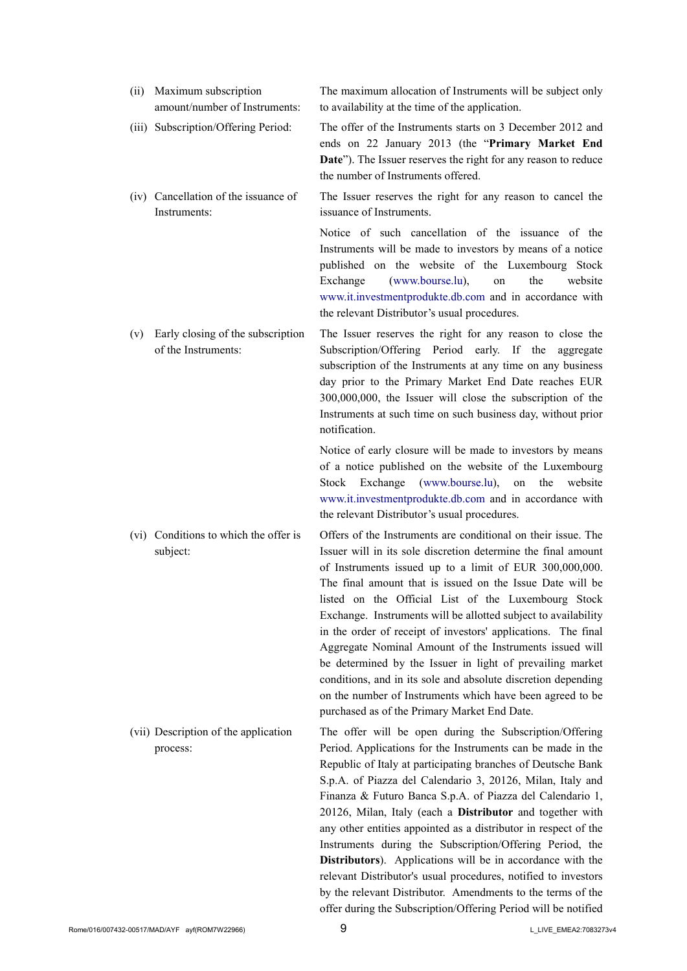| (ii) | Maximum subscription<br>amount/number of Instruments:    | The maximum allocation of Instruments will be subject only<br>to availability at the time of the application.                                                                                                                                                                                                                                                                                                                                                                                               |
|------|----------------------------------------------------------|-------------------------------------------------------------------------------------------------------------------------------------------------------------------------------------------------------------------------------------------------------------------------------------------------------------------------------------------------------------------------------------------------------------------------------------------------------------------------------------------------------------|
|      | (iii) Subscription/Offering Period:                      | The offer of the Instruments starts on 3 December 2012 and<br>ends on 22 January 2013 (the "Primary Market End<br>Date"). The Issuer reserves the right for any reason to reduce<br>the number of Instruments offered.                                                                                                                                                                                                                                                                                      |
|      | (iv) Cancellation of the issuance of<br>Instruments:     | The Issuer reserves the right for any reason to cancel the<br>issuance of Instruments.                                                                                                                                                                                                                                                                                                                                                                                                                      |
|      |                                                          | Notice of such cancellation of the issuance of the<br>Instruments will be made to investors by means of a notice<br>published on the website of the Luxembourg Stock<br>(www.bourse.lu),<br>the<br>website<br>Exchange<br>on<br>www.it.investmentprodukte.db.com and in accordance with<br>the relevant Distributor's usual procedures.                                                                                                                                                                     |
| (v)  | Early closing of the subscription<br>of the Instruments: | The Issuer reserves the right for any reason to close the<br>Subscription/Offering Period early. If the aggregate<br>subscription of the Instruments at any time on any business<br>day prior to the Primary Market End Date reaches EUR<br>300,000,000, the Issuer will close the subscription of the<br>Instruments at such time on such business day, without prior<br>notification.                                                                                                                     |
|      |                                                          | Notice of early closure will be made to investors by means<br>of a notice published on the website of the Luxembourg<br>Exchange (www.bourse.lu),<br>Stock<br>the<br>on<br>website<br>www.it.investmentprodukte.db.com and in accordance with<br>the relevant Distributor's usual procedures.                                                                                                                                                                                                               |
|      | (vi) Conditions to which the offer is<br>subject:        | Offers of the Instruments are conditional on their issue. The<br>Issuer will in its sole discretion determine the final amount<br>of Instruments issued up to a limit of EUR 300,000,000.<br>The final amount that is issued on the Issue Date will be<br>listed on the Official List of the Luxembourg Stock<br>Exchange. Instruments will be allotted subject to availability<br>in the order of receipt of investors' applications. The final<br>Aggregate Nominal Amount of the Instruments issued will |

(vii) Description of the application process:

The offer will be open during the Subscription/Offering Period. Applications for the Instruments can be made in the Republic of Italy at participating branches of Deutsche Bank S.p.A. of Piazza del Calendario 3, 20126, Milan, Italy and Finanza & Futuro Banca S.p.A. of Piazza del Calendario 1, 20126, Milan, Italy (each a **Distributor** and together with any other entities appointed as a distributor in respect of the Instruments during the Subscription/Offering Period, the **Distributors**). Applications will be in accordance with the relevant Distributor's usual procedures, notified to investors by the relevant Distributor. Amendments to the terms of the offer during the Subscription/Offering Period will be notified

be determined by the Issuer in light of prevailing market conditions, and in its sole and absolute discretion depending on the number of Instruments which have been agreed to be

purchased as of the Primary Market End Date.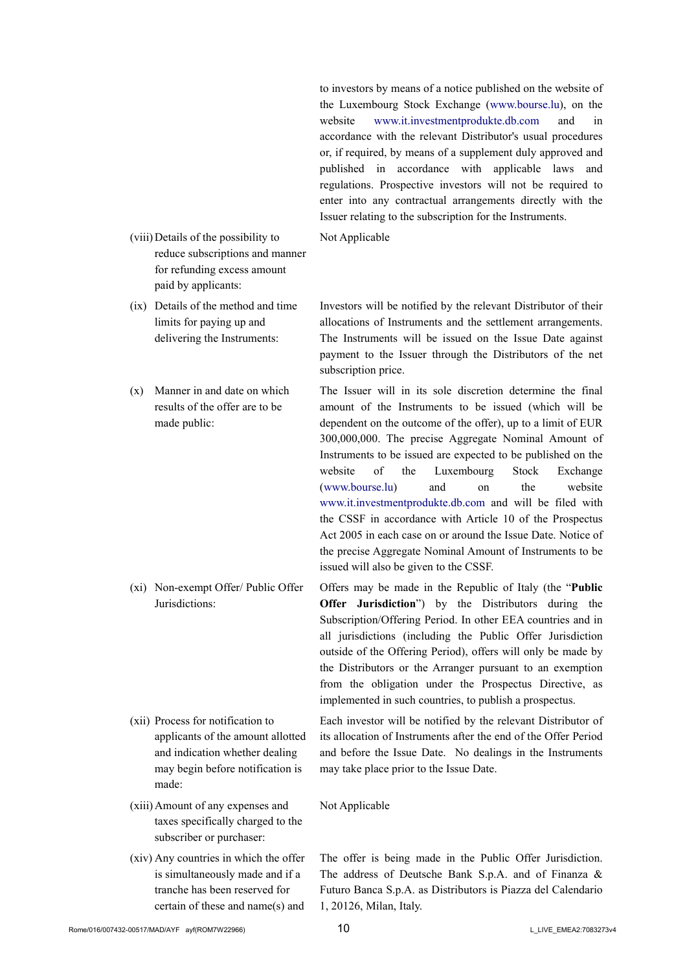to investors by means of a notice published on the website of the Luxembourg Stock Exchange ([www.bourse.lu\)](http://www.bourse.lu/), on the website [www.it.investmentprodukte.db.com](http://www.it.investmentprodukte.db.com/) and in accordance with the relevant Distributor's usual procedures or, if required, by means of a supplement duly approved and published in accordance with applicable laws and regulations. Prospective investors will not be required to enter into any contractual arrangements directly with the Issuer relating to the subscription for the Instruments.

- Not Applicable
- (viii)Details of the possibility to reduce subscriptions and manner for refunding excess amount paid by applicants:
- (ix) Details of the method and time limits for paying up and delivering the Instruments:
- (x) Manner in and date on which results of the offer are to be made public:

(xi) Non-exempt Offer/ Public Offer Jurisdictions:

- (xii) Process for notification to applicants of the amount allotted and indication whether dealing may begin before notification is made:
- (xiii)Amount of any expenses and taxes specifically charged to the subscriber or purchaser:
- (xiv) Any countries in which the offer is simultaneously made and if a tranche has been reserved for certain of these and name(s) and

Investors will be notified by the relevant Distributor of their allocations of Instruments and the settlement arrangements. The Instruments will be issued on the Issue Date against payment to the Issuer through the Distributors of the net subscription price.

The Issuer will in its sole discretion determine the final amount of the Instruments to be issued (which will be dependent on the outcome of the offer), up to a limit of EUR 300,000,000. The precise Aggregate Nominal Amount of Instruments to be issued are expected to be published on the website of the Luxembourg Stock Exchange [\(www.bourse.lu\)](http://www.bourse.lu/) and on the website [www.it.investmentprodukte.db.com](http://www.it.investmentprodukte.db.com/) and will be filed with the CSSF in accordance with Article 10 of the Prospectus Act 2005 in each case on or around the Issue Date. Notice of the precise Aggregate Nominal Amount of Instruments to be issued will also be given to the CSSF.

Offers may be made in the Republic of Italy (the "**Public Offer Jurisdiction**") by the Distributors during the Subscription/Offering Period. In other EEA countries and in all jurisdictions (including the Public Offer Jurisdiction outside of the Offering Period), offers will only be made by the Distributors or the Arranger pursuant to an exemption from the obligation under the Prospectus Directive, as implemented in such countries, to publish a prospectus.

Each investor will be notified by the relevant Distributor of its allocation of Instruments after the end of the Offer Period and before the Issue Date. No dealings in the Instruments may take place prior to the Issue Date.

Not Applicable

The offer is being made in the Public Offer Jurisdiction. The address of Deutsche Bank S.p.A. and of Finanza & Futuro Banca S.p.A. as Distributors is Piazza del Calendario 1, 20126, Milan, Italy.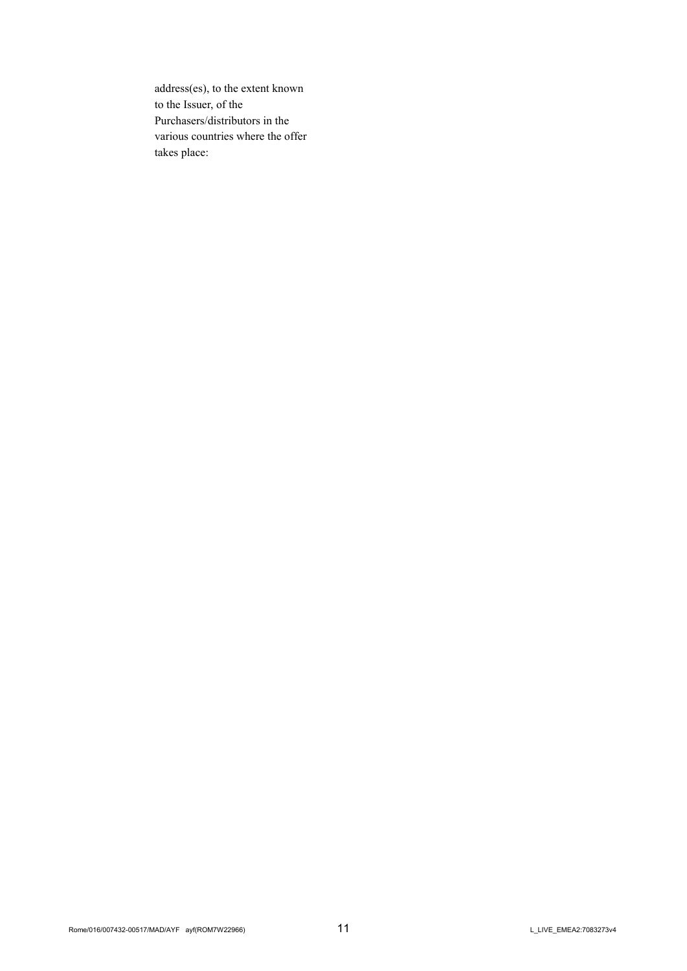address(es), to the extent known to the Issuer, of the Purchasers/distributors in the various countries where the offer takes place: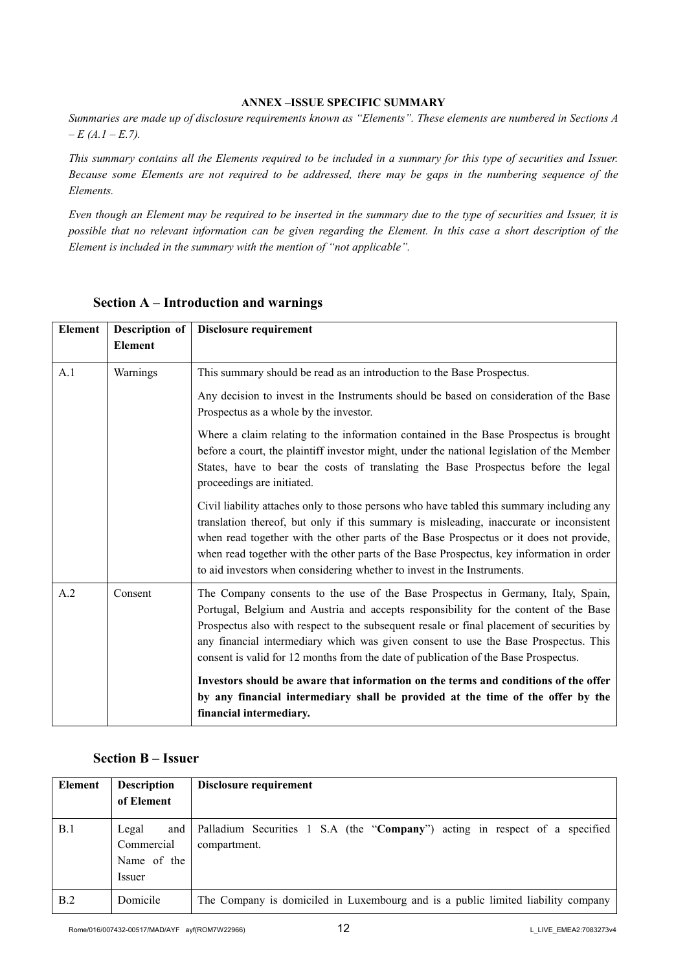### **ANNEX –ISSUE SPECIFIC SUMMARY**

*Summaries are made up of disclosure requirements known as "Elements". These elements are numbered in Sections A – E (A.1 – E.7).*

*This summary contains all the Elements required to be included in a summary for this type of securities and Issuer. Because some Elements are not required to be addressed, there may be gaps in the numbering sequence of the Elements.*

*Even though an Element may be required to be inserted in the summary due to the type of securities and Issuer, it is possible that no relevant information can be given regarding the Element. In this case a short description of the Element is included in the summary with the mention of "not applicable".*

| <b>Element</b> | Description of | Disclosure requirement                                                                                                                                                                                                                                                                                                                                                                                                                                |
|----------------|----------------|-------------------------------------------------------------------------------------------------------------------------------------------------------------------------------------------------------------------------------------------------------------------------------------------------------------------------------------------------------------------------------------------------------------------------------------------------------|
|                | <b>Element</b> |                                                                                                                                                                                                                                                                                                                                                                                                                                                       |
| A.1            | Warnings       | This summary should be read as an introduction to the Base Prospectus.                                                                                                                                                                                                                                                                                                                                                                                |
|                |                | Any decision to invest in the Instruments should be based on consideration of the Base<br>Prospectus as a whole by the investor.                                                                                                                                                                                                                                                                                                                      |
|                |                | Where a claim relating to the information contained in the Base Prospectus is brought<br>before a court, the plaintiff investor might, under the national legislation of the Member<br>States, have to bear the costs of translating the Base Prospectus before the legal<br>proceedings are initiated.                                                                                                                                               |
|                |                | Civil liability attaches only to those persons who have tabled this summary including any<br>translation thereof, but only if this summary is misleading, inaccurate or inconsistent<br>when read together with the other parts of the Base Prospectus or it does not provide,<br>when read together with the other parts of the Base Prospectus, key information in order<br>to aid investors when considering whether to invest in the Instruments. |
| A.2            | Consent        | The Company consents to the use of the Base Prospectus in Germany, Italy, Spain,<br>Portugal, Belgium and Austria and accepts responsibility for the content of the Base<br>Prospectus also with respect to the subsequent resale or final placement of securities by<br>any financial intermediary which was given consent to use the Base Prospectus. This<br>consent is valid for 12 months from the date of publication of the Base Prospectus.   |
|                |                | Investors should be aware that information on the terms and conditions of the offer<br>by any financial intermediary shall be provided at the time of the offer by the<br>financial intermediary.                                                                                                                                                                                                                                                     |

# **Section A – Introduction and warnings**

## **Section B – Issuer**

| Element | <b>Description</b><br>of Element                    | Disclosure requirement                                                                      |
|---------|-----------------------------------------------------|---------------------------------------------------------------------------------------------|
| B.1     | Legal<br>and<br>Commercial<br>Name of the<br>Issuer | Palladium Securities 1 S.A (the "Company") acting in respect of a specified<br>compartment. |
| B.2     | Domicile                                            | The Company is domiciled in Luxembourg and is a public limited liability company            |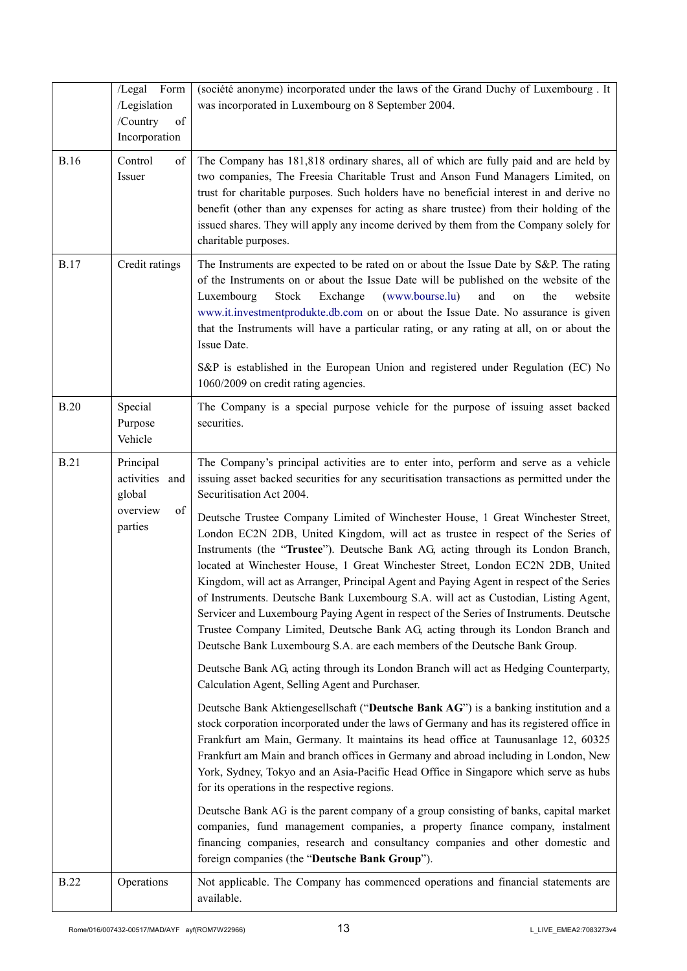|             | /Legal<br>Form<br>/Legislation<br>/Country<br>of<br>Incorporation  | (société anonyme) incorporated under the laws of the Grand Duchy of Luxembourg . It<br>was incorporated in Luxembourg on 8 September 2004.                                                                                                                                                                                                                                                                                                                                                                                                                                                                                                                                                                                                                                                                                                                                                                                                                                                                                                                                                                                                                                                                                                                                                                                                  |
|-------------|--------------------------------------------------------------------|---------------------------------------------------------------------------------------------------------------------------------------------------------------------------------------------------------------------------------------------------------------------------------------------------------------------------------------------------------------------------------------------------------------------------------------------------------------------------------------------------------------------------------------------------------------------------------------------------------------------------------------------------------------------------------------------------------------------------------------------------------------------------------------------------------------------------------------------------------------------------------------------------------------------------------------------------------------------------------------------------------------------------------------------------------------------------------------------------------------------------------------------------------------------------------------------------------------------------------------------------------------------------------------------------------------------------------------------|
| <b>B.16</b> | Control<br>of<br>Issuer                                            | The Company has 181,818 ordinary shares, all of which are fully paid and are held by<br>two companies, The Freesia Charitable Trust and Anson Fund Managers Limited, on<br>trust for charitable purposes. Such holders have no beneficial interest in and derive no<br>benefit (other than any expenses for acting as share trustee) from their holding of the<br>issued shares. They will apply any income derived by them from the Company solely for<br>charitable purposes.                                                                                                                                                                                                                                                                                                                                                                                                                                                                                                                                                                                                                                                                                                                                                                                                                                                             |
| <b>B.17</b> | Credit ratings                                                     | The Instruments are expected to be rated on or about the Issue Date by S&P. The rating<br>of the Instruments on or about the Issue Date will be published on the website of the<br>Stock<br>Exchange<br>(www.bourse.lu)<br>and<br>the<br>Luxembourg<br>website<br>on<br>www.it.investmentprodukte.db.com on or about the Issue Date. No assurance is given<br>that the Instruments will have a particular rating, or any rating at all, on or about the<br>Issue Date.<br>S&P is established in the European Union and registered under Regulation (EC) No                                                                                                                                                                                                                                                                                                                                                                                                                                                                                                                                                                                                                                                                                                                                                                                  |
| <b>B.20</b> | Special<br>Purpose                                                 | 1060/2009 on credit rating agencies.<br>The Company is a special purpose vehicle for the purpose of issuing asset backed<br>securities.                                                                                                                                                                                                                                                                                                                                                                                                                                                                                                                                                                                                                                                                                                                                                                                                                                                                                                                                                                                                                                                                                                                                                                                                     |
|             | Vehicle                                                            |                                                                                                                                                                                                                                                                                                                                                                                                                                                                                                                                                                                                                                                                                                                                                                                                                                                                                                                                                                                                                                                                                                                                                                                                                                                                                                                                             |
| <b>B.21</b> | Principal<br>activities and<br>global<br>overview<br>of<br>parties | The Company's principal activities are to enter into, perform and serve as a vehicle<br>issuing asset backed securities for any securitisation transactions as permitted under the<br>Securitisation Act 2004.<br>Deutsche Trustee Company Limited of Winchester House, 1 Great Winchester Street,<br>London EC2N 2DB, United Kingdom, will act as trustee in respect of the Series of<br>Instruments (the "Trustee"). Deutsche Bank AG, acting through its London Branch,<br>located at Winchester House, 1 Great Winchester Street, London EC2N 2DB, United<br>Kingdom, will act as Arranger, Principal Agent and Paying Agent in respect of the Series<br>of Instruments. Deutsche Bank Luxembourg S.A. will act as Custodian, Listing Agent,<br>Servicer and Luxembourg Paying Agent in respect of the Series of Instruments. Deutsche<br>Trustee Company Limited, Deutsche Bank AG, acting through its London Branch and<br>Deutsche Bank Luxembourg S.A. are each members of the Deutsche Bank Group.<br>Deutsche Bank AG, acting through its London Branch will act as Hedging Counterparty,<br>Calculation Agent, Selling Agent and Purchaser.<br>Deutsche Bank Aktiengesellschaft ("Deutsche Bank AG") is a banking institution and a<br>stock corporation incorporated under the laws of Germany and has its registered office in |
|             |                                                                    | Frankfurt am Main, Germany. It maintains its head office at Taunusanlage 12, 60325<br>Frankfurt am Main and branch offices in Germany and abroad including in London, New<br>York, Sydney, Tokyo and an Asia-Pacific Head Office in Singapore which serve as hubs<br>for its operations in the respective regions.<br>Deutsche Bank AG is the parent company of a group consisting of banks, capital market<br>companies, fund management companies, a property finance company, instalment<br>financing companies, research and consultancy companies and other domestic and<br>foreign companies (the "Deutsche Bank Group").                                                                                                                                                                                                                                                                                                                                                                                                                                                                                                                                                                                                                                                                                                             |
| <b>B.22</b> | Operations                                                         | Not applicable. The Company has commenced operations and financial statements are<br>available.                                                                                                                                                                                                                                                                                                                                                                                                                                                                                                                                                                                                                                                                                                                                                                                                                                                                                                                                                                                                                                                                                                                                                                                                                                             |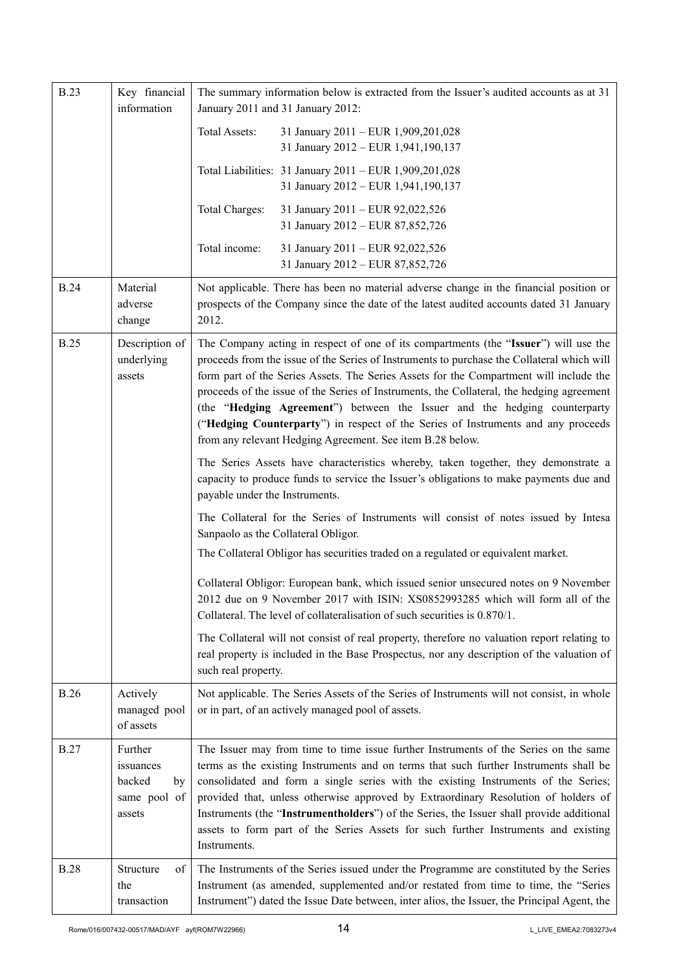| <b>B.23</b> | Key financial<br>information                                   | The summary information below is extracted from the Issuer's audited accounts as at 31<br>January 2011 and 31 January 2012:                                                                                                                                                                                                                                                                                                                                                                                                                                                                              |
|-------------|----------------------------------------------------------------|----------------------------------------------------------------------------------------------------------------------------------------------------------------------------------------------------------------------------------------------------------------------------------------------------------------------------------------------------------------------------------------------------------------------------------------------------------------------------------------------------------------------------------------------------------------------------------------------------------|
|             |                                                                | <b>Total Assets:</b><br>31 January 2011 - EUR 1,909,201,028<br>31 January 2012 - EUR 1,941,190,137                                                                                                                                                                                                                                                                                                                                                                                                                                                                                                       |
|             |                                                                | Total Liabilities: 31 January 2011 - EUR 1,909,201,028<br>31 January 2012 - EUR 1,941,190,137                                                                                                                                                                                                                                                                                                                                                                                                                                                                                                            |
|             |                                                                | Total Charges:<br>31 January 2011 - EUR 92,022,526<br>31 January 2012 - EUR 87,852,726                                                                                                                                                                                                                                                                                                                                                                                                                                                                                                                   |
|             |                                                                | Total income:<br>31 January 2011 - EUR 92,022,526<br>31 January 2012 - EUR 87,852,726                                                                                                                                                                                                                                                                                                                                                                                                                                                                                                                    |
| <b>B.24</b> | Material<br>adverse<br>change                                  | Not applicable. There has been no material adverse change in the financial position or<br>prospects of the Company since the date of the latest audited accounts dated 31 January<br>2012.                                                                                                                                                                                                                                                                                                                                                                                                               |
| <b>B.25</b> | Description of<br>underlying<br>assets                         | The Company acting in respect of one of its compartments (the "Issuer") will use the<br>proceeds from the issue of the Series of Instruments to purchase the Collateral which will<br>form part of the Series Assets. The Series Assets for the Compartment will include the<br>proceeds of the issue of the Series of Instruments, the Collateral, the hedging agreement<br>(the "Hedging Agreement") between the Issuer and the hedging counterparty<br>("Hedging Counterparty") in respect of the Series of Instruments and any proceeds<br>from any relevant Hedging Agreement. See item B.28 below. |
|             |                                                                | The Series Assets have characteristics whereby, taken together, they demonstrate a<br>capacity to produce funds to service the Issuer's obligations to make payments due and<br>payable under the Instruments.                                                                                                                                                                                                                                                                                                                                                                                           |
|             |                                                                | The Collateral for the Series of Instruments will consist of notes issued by Intesa<br>Sanpaolo as the Collateral Obligor.<br>The Collateral Obligor has securities traded on a regulated or equivalent market.                                                                                                                                                                                                                                                                                                                                                                                          |
|             |                                                                | Collateral Obligor: European bank, which issued senior unsecured notes on 9 November<br>2012 due on 9 November 2017 with ISIN: XS0852993285 which will form all of the<br>Collateral. The level of collateralisation of such securities is 0.870/1.                                                                                                                                                                                                                                                                                                                                                      |
|             |                                                                | The Collateral will not consist of real property, therefore no valuation report relating to<br>real property is included in the Base Prospectus, nor any description of the valuation of<br>such real property.                                                                                                                                                                                                                                                                                                                                                                                          |
| <b>B.26</b> | Actively<br>managed pool<br>of assets                          | Not applicable. The Series Assets of the Series of Instruments will not consist, in whole<br>or in part, of an actively managed pool of assets.                                                                                                                                                                                                                                                                                                                                                                                                                                                          |
| <b>B.27</b> | Further<br>issuances<br>backed<br>by<br>same pool of<br>assets | The Issuer may from time to time issue further Instruments of the Series on the same<br>terms as the existing Instruments and on terms that such further Instruments shall be<br>consolidated and form a single series with the existing Instruments of the Series;<br>provided that, unless otherwise approved by Extraordinary Resolution of holders of<br>Instruments (the "Instrumentholders") of the Series, the Issuer shall provide additional<br>assets to form part of the Series Assets for such further Instruments and existing<br>Instruments.                                              |
| <b>B.28</b> | Structure<br>of<br>the<br>transaction                          | The Instruments of the Series issued under the Programme are constituted by the Series<br>Instrument (as amended, supplemented and/or restated from time to time, the "Series<br>Instrument") dated the Issue Date between, inter alios, the Issuer, the Principal Agent, the                                                                                                                                                                                                                                                                                                                            |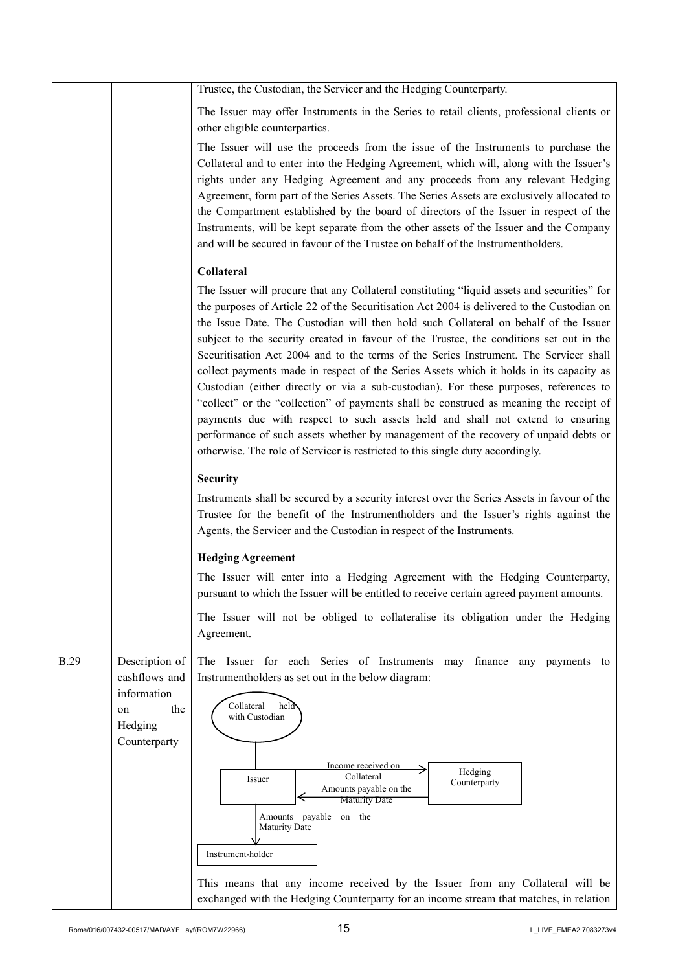|             |                                                                                        | Trustee, the Custodian, the Servicer and the Hedging Counterparty.                                                                                                                                                                                                                                                                                                                                                                                                                                                                                                                                                                                                                                                                                                                                                                                                                                                                                                                                             |
|-------------|----------------------------------------------------------------------------------------|----------------------------------------------------------------------------------------------------------------------------------------------------------------------------------------------------------------------------------------------------------------------------------------------------------------------------------------------------------------------------------------------------------------------------------------------------------------------------------------------------------------------------------------------------------------------------------------------------------------------------------------------------------------------------------------------------------------------------------------------------------------------------------------------------------------------------------------------------------------------------------------------------------------------------------------------------------------------------------------------------------------|
|             |                                                                                        | The Issuer may offer Instruments in the Series to retail clients, professional clients or<br>other eligible counterparties.                                                                                                                                                                                                                                                                                                                                                                                                                                                                                                                                                                                                                                                                                                                                                                                                                                                                                    |
|             |                                                                                        | The Issuer will use the proceeds from the issue of the Instruments to purchase the<br>Collateral and to enter into the Hedging Agreement, which will, along with the Issuer's<br>rights under any Hedging Agreement and any proceeds from any relevant Hedging<br>Agreement, form part of the Series Assets. The Series Assets are exclusively allocated to<br>the Compartment established by the board of directors of the Issuer in respect of the<br>Instruments, will be kept separate from the other assets of the Issuer and the Company<br>and will be secured in favour of the Trustee on behalf of the Instrumentholders.                                                                                                                                                                                                                                                                                                                                                                             |
|             |                                                                                        | Collateral                                                                                                                                                                                                                                                                                                                                                                                                                                                                                                                                                                                                                                                                                                                                                                                                                                                                                                                                                                                                     |
|             |                                                                                        | The Issuer will procure that any Collateral constituting "liquid assets and securities" for<br>the purposes of Article 22 of the Securitisation Act 2004 is delivered to the Custodian on<br>the Issue Date. The Custodian will then hold such Collateral on behalf of the Issuer<br>subject to the security created in favour of the Trustee, the conditions set out in the<br>Securitisation Act 2004 and to the terms of the Series Instrument. The Servicer shall<br>collect payments made in respect of the Series Assets which it holds in its capacity as<br>Custodian (either directly or via a sub-custodian). For these purposes, references to<br>"collect" or the "collection" of payments shall be construed as meaning the receipt of<br>payments due with respect to such assets held and shall not extend to ensuring<br>performance of such assets whether by management of the recovery of unpaid debts or<br>otherwise. The role of Servicer is restricted to this single duty accordingly. |
|             |                                                                                        | <b>Security</b>                                                                                                                                                                                                                                                                                                                                                                                                                                                                                                                                                                                                                                                                                                                                                                                                                                                                                                                                                                                                |
|             |                                                                                        | Instruments shall be secured by a security interest over the Series Assets in favour of the<br>Trustee for the benefit of the Instrumentholders and the Issuer's rights against the<br>Agents, the Servicer and the Custodian in respect of the Instruments.                                                                                                                                                                                                                                                                                                                                                                                                                                                                                                                                                                                                                                                                                                                                                   |
|             |                                                                                        | <b>Hedging Agreement</b>                                                                                                                                                                                                                                                                                                                                                                                                                                                                                                                                                                                                                                                                                                                                                                                                                                                                                                                                                                                       |
|             |                                                                                        | The Issuer will enter into a Hedging Agreement with the Hedging Counterparty,<br>pursuant to which the Issuer will be entitled to receive certain agreed payment amounts.                                                                                                                                                                                                                                                                                                                                                                                                                                                                                                                                                                                                                                                                                                                                                                                                                                      |
|             |                                                                                        | The Issuer will not be obliged to collateralise its obligation under the Hedging<br>Agreement.                                                                                                                                                                                                                                                                                                                                                                                                                                                                                                                                                                                                                                                                                                                                                                                                                                                                                                                 |
| <b>B.29</b> | Description of<br>cashflows and<br>information<br>the<br>on<br>Hedging<br>Counterparty | The Issuer for each Series of Instruments<br>may finance<br>any payments to<br>Instrumentholders as set out in the below diagram:<br>Collateral<br>held<br>with Custodian<br>Income received on<br>Hedging<br>Collateral<br>Issuer<br>Counterparty<br>Amounts payable on the<br><b>Maturity Date</b><br>Amounts payable on the<br>Maturity Date<br>Instrument-holder<br>This means that any income received by the Issuer from any Collateral will be<br>exchanged with the Hedging Counterparty for an income stream that matches, in relation                                                                                                                                                                                                                                                                                                                                                                                                                                                                |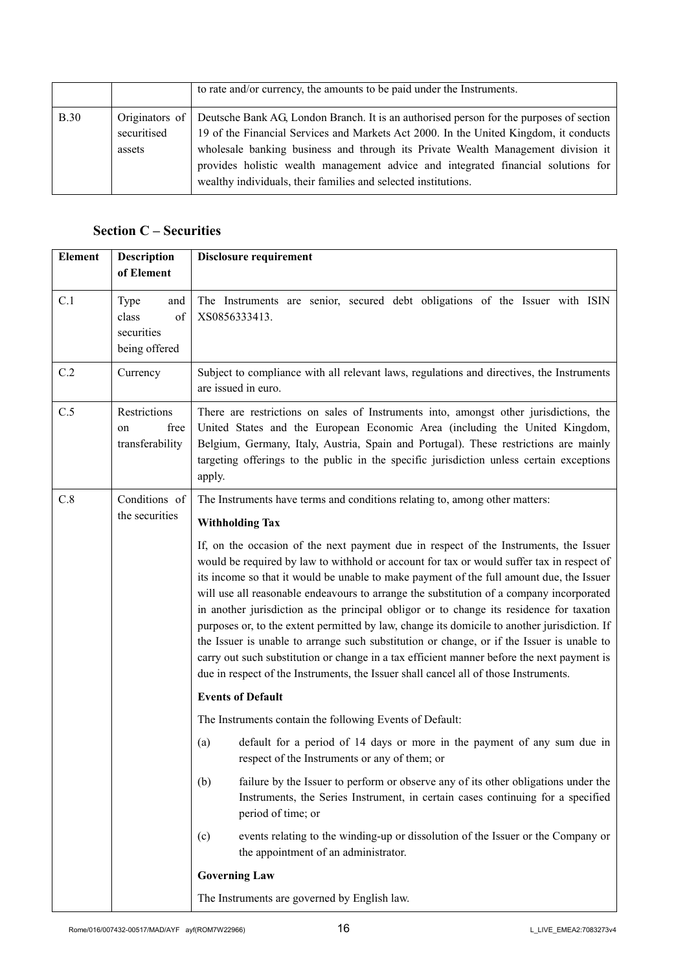|             |                       | to rate and/or currency, the amounts to be paid under the Instruments.                                                                                                                                                                                                                                                                                                                                                                     |
|-------------|-----------------------|--------------------------------------------------------------------------------------------------------------------------------------------------------------------------------------------------------------------------------------------------------------------------------------------------------------------------------------------------------------------------------------------------------------------------------------------|
| <b>B.30</b> | securitised<br>assets | Originators of Deutsche Bank AG, London Branch. It is an authorised person for the purposes of section<br>19 of the Financial Services and Markets Act 2000. In the United Kingdom, it conducts<br>wholesale banking business and through its Private Wealth Management division it<br>provides holistic wealth management advice and integrated financial solutions for<br>wealthy individuals, their families and selected institutions. |

# **Section C – Securities**

| <b>Element</b> | Description                                               | <b>Disclosure requirement</b>                                                                                                                                                                                                                                                                                                                                                                                                                                                                                                                                                                                                                                                                                                                                                                                                                              |
|----------------|-----------------------------------------------------------|------------------------------------------------------------------------------------------------------------------------------------------------------------------------------------------------------------------------------------------------------------------------------------------------------------------------------------------------------------------------------------------------------------------------------------------------------------------------------------------------------------------------------------------------------------------------------------------------------------------------------------------------------------------------------------------------------------------------------------------------------------------------------------------------------------------------------------------------------------|
|                | of Element                                                |                                                                                                                                                                                                                                                                                                                                                                                                                                                                                                                                                                                                                                                                                                                                                                                                                                                            |
| C.1            | Type<br>and<br>class<br>of<br>securities<br>being offered | The Instruments are senior, secured debt obligations of the Issuer with ISIN<br>XS0856333413.                                                                                                                                                                                                                                                                                                                                                                                                                                                                                                                                                                                                                                                                                                                                                              |
| C.2            | Currency                                                  | Subject to compliance with all relevant laws, regulations and directives, the Instruments<br>are issued in euro.                                                                                                                                                                                                                                                                                                                                                                                                                                                                                                                                                                                                                                                                                                                                           |
| C.5            | Restrictions<br>free<br>on<br>transferability             | There are restrictions on sales of Instruments into, amongst other jurisdictions, the<br>United States and the European Economic Area (including the United Kingdom,<br>Belgium, Germany, Italy, Austria, Spain and Portugal). These restrictions are mainly<br>targeting offerings to the public in the specific jurisdiction unless certain exceptions<br>apply.                                                                                                                                                                                                                                                                                                                                                                                                                                                                                         |
| C.8            | Conditions of                                             | The Instruments have terms and conditions relating to, among other matters:                                                                                                                                                                                                                                                                                                                                                                                                                                                                                                                                                                                                                                                                                                                                                                                |
|                | the securities                                            | <b>Withholding Tax</b>                                                                                                                                                                                                                                                                                                                                                                                                                                                                                                                                                                                                                                                                                                                                                                                                                                     |
|                |                                                           | If, on the occasion of the next payment due in respect of the Instruments, the Issuer<br>would be required by law to withhold or account for tax or would suffer tax in respect of<br>its income so that it would be unable to make payment of the full amount due, the Issuer<br>will use all reasonable endeavours to arrange the substitution of a company incorporated<br>in another jurisdiction as the principal obligor or to change its residence for taxation<br>purposes or, to the extent permitted by law, change its domicile to another jurisdiction. If<br>the Issuer is unable to arrange such substitution or change, or if the Issuer is unable to<br>carry out such substitution or change in a tax efficient manner before the next payment is<br>due in respect of the Instruments, the Issuer shall cancel all of those Instruments. |
|                |                                                           | <b>Events of Default</b>                                                                                                                                                                                                                                                                                                                                                                                                                                                                                                                                                                                                                                                                                                                                                                                                                                   |
|                |                                                           | The Instruments contain the following Events of Default:                                                                                                                                                                                                                                                                                                                                                                                                                                                                                                                                                                                                                                                                                                                                                                                                   |
|                |                                                           | default for a period of 14 days or more in the payment of any sum due in<br>(a)<br>respect of the Instruments or any of them; or                                                                                                                                                                                                                                                                                                                                                                                                                                                                                                                                                                                                                                                                                                                           |
|                |                                                           | (b)<br>failure by the Issuer to perform or observe any of its other obligations under the<br>Instruments, the Series Instrument, in certain cases continuing for a specified<br>period of time; or                                                                                                                                                                                                                                                                                                                                                                                                                                                                                                                                                                                                                                                         |
|                |                                                           | events relating to the winding-up or dissolution of the Issuer or the Company or<br>(c)<br>the appointment of an administrator.                                                                                                                                                                                                                                                                                                                                                                                                                                                                                                                                                                                                                                                                                                                            |
|                |                                                           | <b>Governing Law</b>                                                                                                                                                                                                                                                                                                                                                                                                                                                                                                                                                                                                                                                                                                                                                                                                                                       |
|                |                                                           | The Instruments are governed by English law.                                                                                                                                                                                                                                                                                                                                                                                                                                                                                                                                                                                                                                                                                                                                                                                                               |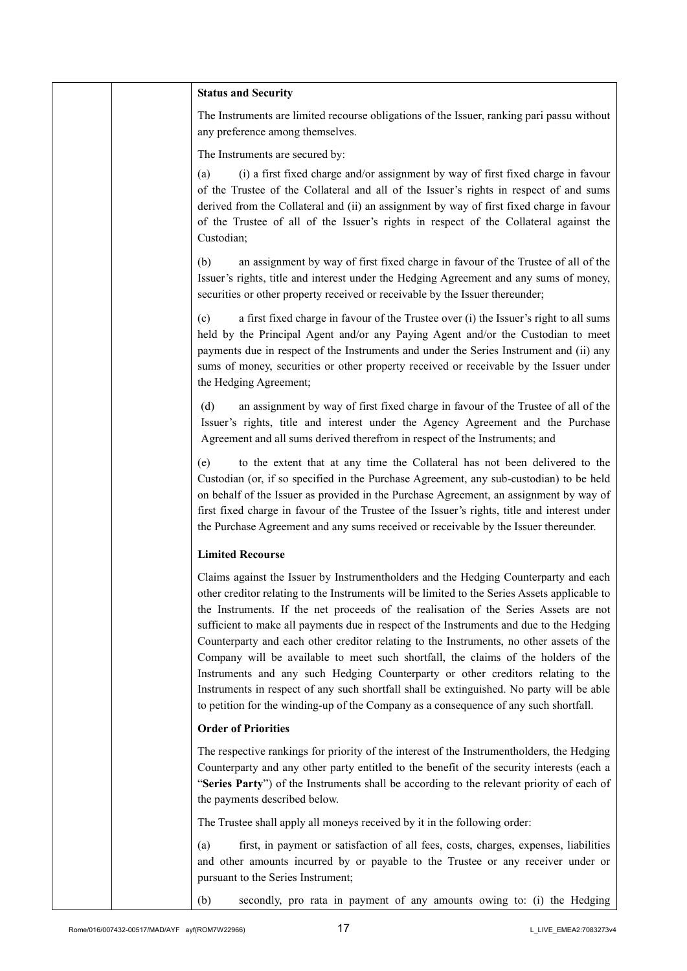|  | <b>Status and Security</b>                                                                                                                                                                                                                                                                                                                                                                                                                                                                                                                                                                                                                                                                                                                                                                                                            |
|--|---------------------------------------------------------------------------------------------------------------------------------------------------------------------------------------------------------------------------------------------------------------------------------------------------------------------------------------------------------------------------------------------------------------------------------------------------------------------------------------------------------------------------------------------------------------------------------------------------------------------------------------------------------------------------------------------------------------------------------------------------------------------------------------------------------------------------------------|
|  | The Instruments are limited recourse obligations of the Issuer, ranking pari passu without<br>any preference among themselves.                                                                                                                                                                                                                                                                                                                                                                                                                                                                                                                                                                                                                                                                                                        |
|  | The Instruments are secured by:                                                                                                                                                                                                                                                                                                                                                                                                                                                                                                                                                                                                                                                                                                                                                                                                       |
|  | (i) a first fixed charge and/or assignment by way of first fixed charge in favour<br>(a)<br>of the Trustee of the Collateral and all of the Issuer's rights in respect of and sums<br>derived from the Collateral and (ii) an assignment by way of first fixed charge in favour<br>of the Trustee of all of the Issuer's rights in respect of the Collateral against the<br>Custodian;                                                                                                                                                                                                                                                                                                                                                                                                                                                |
|  | an assignment by way of first fixed charge in favour of the Trustee of all of the<br>(b)<br>Issuer's rights, title and interest under the Hedging Agreement and any sums of money,<br>securities or other property received or receivable by the Issuer thereunder;                                                                                                                                                                                                                                                                                                                                                                                                                                                                                                                                                                   |
|  | a first fixed charge in favour of the Trustee over (i) the Issuer's right to all sums<br>(c)<br>held by the Principal Agent and/or any Paying Agent and/or the Custodian to meet<br>payments due in respect of the Instruments and under the Series Instrument and (ii) any<br>sums of money, securities or other property received or receivable by the Issuer under<br>the Hedging Agreement;                                                                                                                                                                                                                                                                                                                                                                                                                                       |
|  | an assignment by way of first fixed charge in favour of the Trustee of all of the<br>(d)<br>Issuer's rights, title and interest under the Agency Agreement and the Purchase<br>Agreement and all sums derived therefrom in respect of the Instruments; and                                                                                                                                                                                                                                                                                                                                                                                                                                                                                                                                                                            |
|  | to the extent that at any time the Collateral has not been delivered to the<br>(e)<br>Custodian (or, if so specified in the Purchase Agreement, any sub-custodian) to be held<br>on behalf of the Issuer as provided in the Purchase Agreement, an assignment by way of<br>first fixed charge in favour of the Trustee of the Issuer's rights, title and interest under<br>the Purchase Agreement and any sums received or receivable by the Issuer thereunder.                                                                                                                                                                                                                                                                                                                                                                       |
|  | <b>Limited Recourse</b>                                                                                                                                                                                                                                                                                                                                                                                                                                                                                                                                                                                                                                                                                                                                                                                                               |
|  | Claims against the Issuer by Instrumentholders and the Hedging Counterparty and each<br>other creditor relating to the Instruments will be limited to the Series Assets applicable to<br>the Instruments. If the net proceeds of the realisation of the Series Assets are not<br>sufficient to make all payments due in respect of the Instruments and due to the Hedging<br>Counterparty and each other creditor relating to the Instruments, no other assets of the<br>Company will be available to meet such shortfall, the claims of the holders of the<br>Instruments and any such Hedging Counterparty or other creditors relating to the<br>Instruments in respect of any such shortfall shall be extinguished. No party will be able<br>to petition for the winding-up of the Company as a consequence of any such shortfall. |
|  | <b>Order of Priorities</b>                                                                                                                                                                                                                                                                                                                                                                                                                                                                                                                                                                                                                                                                                                                                                                                                            |
|  | The respective rankings for priority of the interest of the Instrumentholders, the Hedging<br>Counterparty and any other party entitled to the benefit of the security interests (each a<br>"Series Party") of the Instruments shall be according to the relevant priority of each of<br>the payments described below.                                                                                                                                                                                                                                                                                                                                                                                                                                                                                                                |
|  | The Trustee shall apply all moneys received by it in the following order:                                                                                                                                                                                                                                                                                                                                                                                                                                                                                                                                                                                                                                                                                                                                                             |
|  | first, in payment or satisfaction of all fees, costs, charges, expenses, liabilities<br>(a)<br>and other amounts incurred by or payable to the Trustee or any receiver under or<br>pursuant to the Series Instrument;                                                                                                                                                                                                                                                                                                                                                                                                                                                                                                                                                                                                                 |
|  | secondly, pro rata in payment of any amounts owing to: (i) the Hedging<br>(b)                                                                                                                                                                                                                                                                                                                                                                                                                                                                                                                                                                                                                                                                                                                                                         |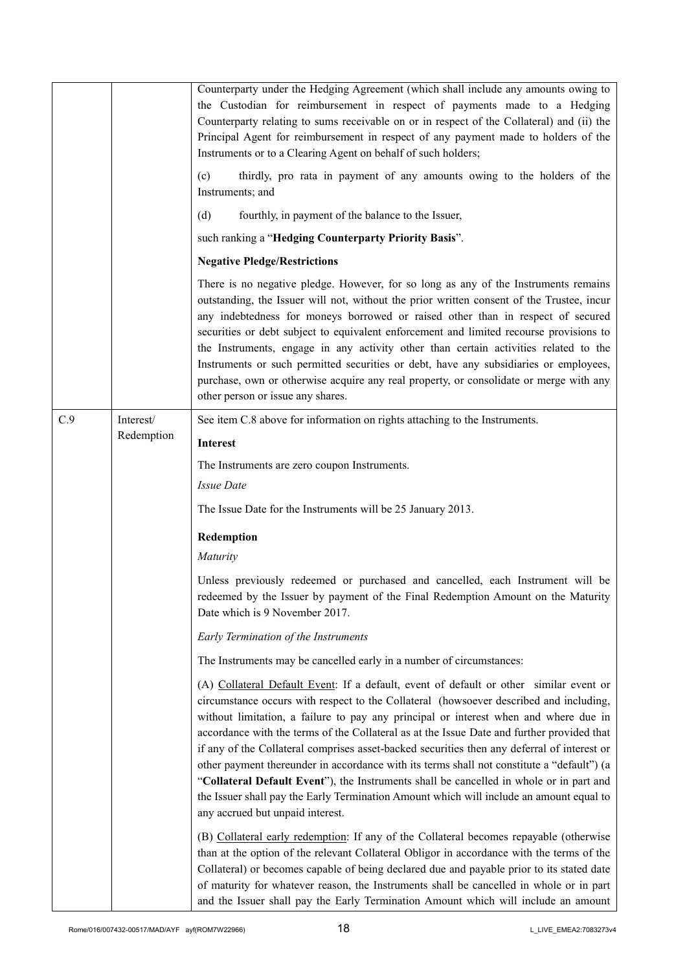|     |                         | Counterparty under the Hedging Agreement (which shall include any amounts owing to<br>the Custodian for reimbursement in respect of payments made to a Hedging<br>Counterparty relating to sums receivable on or in respect of the Collateral) and (ii) the<br>Principal Agent for reimbursement in respect of any payment made to holders of the<br>Instruments or to a Clearing Agent on behalf of such holders;<br>thirdly, pro rata in payment of any amounts owing to the holders of the<br>(c)<br>Instruments; and<br>(d)<br>fourthly, in payment of the balance to the Issuer,<br>such ranking a "Hedging Counterparty Priority Basis".<br><b>Negative Pledge/Restrictions</b><br>There is no negative pledge. However, for so long as any of the Instruments remains<br>outstanding, the Issuer will not, without the prior written consent of the Trustee, incur<br>any indebtedness for moneys borrowed or raised other than in respect of secured<br>securities or debt subject to equivalent enforcement and limited recourse provisions to<br>the Instruments, engage in any activity other than certain activities related to the<br>Instruments or such permitted securities or debt, have any subsidiaries or employees,<br>purchase, own or otherwise acquire any real property, or consolidate or merge with any<br>other person or issue any shares. |
|-----|-------------------------|-------------------------------------------------------------------------------------------------------------------------------------------------------------------------------------------------------------------------------------------------------------------------------------------------------------------------------------------------------------------------------------------------------------------------------------------------------------------------------------------------------------------------------------------------------------------------------------------------------------------------------------------------------------------------------------------------------------------------------------------------------------------------------------------------------------------------------------------------------------------------------------------------------------------------------------------------------------------------------------------------------------------------------------------------------------------------------------------------------------------------------------------------------------------------------------------------------------------------------------------------------------------------------------------------------------------------------------------------------------------------|
| C.9 | Interest/<br>Redemption | See item C.8 above for information on rights attaching to the Instruments.<br><b>Interest</b><br>The Instruments are zero coupon Instruments.<br><b>Issue Date</b>                                                                                                                                                                                                                                                                                                                                                                                                                                                                                                                                                                                                                                                                                                                                                                                                                                                                                                                                                                                                                                                                                                                                                                                                      |
|     |                         | The Issue Date for the Instruments will be 25 January 2013.                                                                                                                                                                                                                                                                                                                                                                                                                                                                                                                                                                                                                                                                                                                                                                                                                                                                                                                                                                                                                                                                                                                                                                                                                                                                                                             |
|     |                         | Redemption<br>Maturity                                                                                                                                                                                                                                                                                                                                                                                                                                                                                                                                                                                                                                                                                                                                                                                                                                                                                                                                                                                                                                                                                                                                                                                                                                                                                                                                                  |
|     |                         | Unless previously redeemed or purchased and cancelled, each Instrument will be<br>redeemed by the Issuer by payment of the Final Redemption Amount on the Maturity<br>Date which is 9 November 2017.                                                                                                                                                                                                                                                                                                                                                                                                                                                                                                                                                                                                                                                                                                                                                                                                                                                                                                                                                                                                                                                                                                                                                                    |
|     |                         | Early Termination of the Instruments                                                                                                                                                                                                                                                                                                                                                                                                                                                                                                                                                                                                                                                                                                                                                                                                                                                                                                                                                                                                                                                                                                                                                                                                                                                                                                                                    |
|     |                         | The Instruments may be cancelled early in a number of circumstances:                                                                                                                                                                                                                                                                                                                                                                                                                                                                                                                                                                                                                                                                                                                                                                                                                                                                                                                                                                                                                                                                                                                                                                                                                                                                                                    |
|     |                         | (A) Collateral Default Event: If a default, event of default or other similar event or<br>circumstance occurs with respect to the Collateral (howsoever described and including,<br>without limitation, a failure to pay any principal or interest when and where due in<br>accordance with the terms of the Collateral as at the Issue Date and further provided that<br>if any of the Collateral comprises asset-backed securities then any deferral of interest or<br>other payment thereunder in accordance with its terms shall not constitute a "default") (a<br>"Collateral Default Event"), the Instruments shall be cancelled in whole or in part and<br>the Issuer shall pay the Early Termination Amount which will include an amount equal to<br>any accrued but unpaid interest.                                                                                                                                                                                                                                                                                                                                                                                                                                                                                                                                                                           |
|     |                         | (B) Collateral early redemption: If any of the Collateral becomes repayable (otherwise<br>than at the option of the relevant Collateral Obligor in accordance with the terms of the<br>Collateral) or becomes capable of being declared due and payable prior to its stated date<br>of maturity for whatever reason, the Instruments shall be cancelled in whole or in part<br>and the Issuer shall pay the Early Termination Amount which will include an amount                                                                                                                                                                                                                                                                                                                                                                                                                                                                                                                                                                                                                                                                                                                                                                                                                                                                                                       |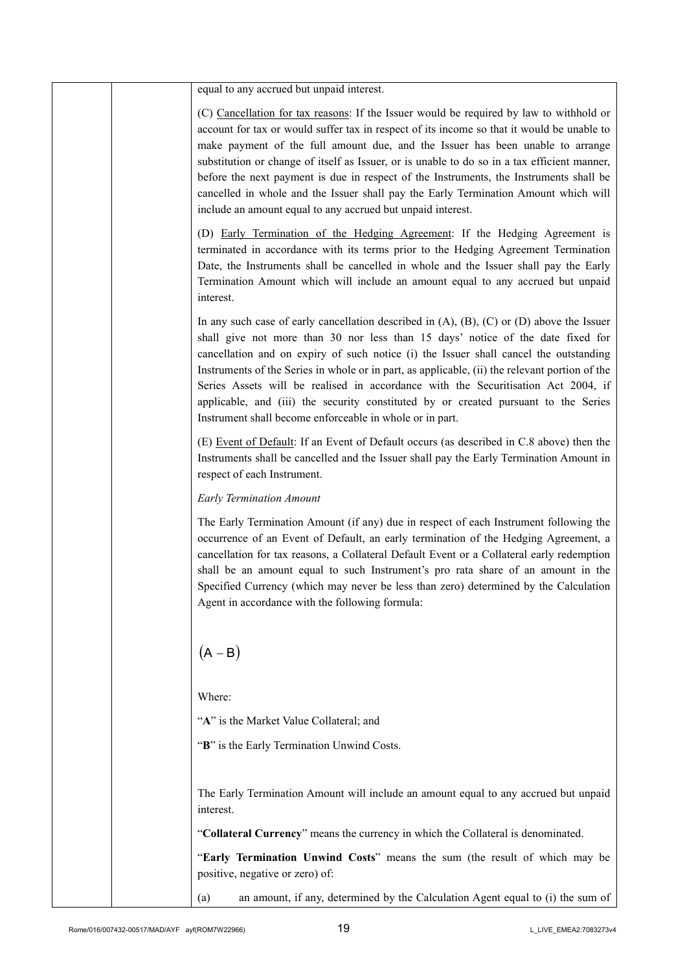|  | equal to any accrued but unpaid interest.                                                                                                                                                                                                                                                                                                                                                                                                                                                                                                                                                                                 |
|--|---------------------------------------------------------------------------------------------------------------------------------------------------------------------------------------------------------------------------------------------------------------------------------------------------------------------------------------------------------------------------------------------------------------------------------------------------------------------------------------------------------------------------------------------------------------------------------------------------------------------------|
|  | (C) Cancellation for tax reasons: If the Issuer would be required by law to withhold or<br>account for tax or would suffer tax in respect of its income so that it would be unable to<br>make payment of the full amount due, and the Issuer has been unable to arrange<br>substitution or change of itself as Issuer, or is unable to do so in a tax efficient manner,<br>before the next payment is due in respect of the Instruments, the Instruments shall be<br>cancelled in whole and the Issuer shall pay the Early Termination Amount which will<br>include an amount equal to any accrued but unpaid interest.   |
|  | (D) Early Termination of the Hedging Agreement: If the Hedging Agreement is<br>terminated in accordance with its terms prior to the Hedging Agreement Termination<br>Date, the Instruments shall be cancelled in whole and the Issuer shall pay the Early<br>Termination Amount which will include an amount equal to any accrued but unpaid<br>interest.                                                                                                                                                                                                                                                                 |
|  | In any such case of early cancellation described in $(A)$ , $(B)$ , $(C)$ or $(D)$ above the Issuer<br>shall give not more than 30 nor less than 15 days' notice of the date fixed for<br>cancellation and on expiry of such notice (i) the Issuer shall cancel the outstanding<br>Instruments of the Series in whole or in part, as applicable, (ii) the relevant portion of the<br>Series Assets will be realised in accordance with the Securitisation Act 2004, if<br>applicable, and (iii) the security constituted by or created pursuant to the Series<br>Instrument shall become enforceable in whole or in part. |
|  | (E) Event of Default: If an Event of Default occurs (as described in C.8 above) then the<br>Instruments shall be cancelled and the Issuer shall pay the Early Termination Amount in<br>respect of each Instrument.                                                                                                                                                                                                                                                                                                                                                                                                        |
|  | <b>Early Termination Amount</b>                                                                                                                                                                                                                                                                                                                                                                                                                                                                                                                                                                                           |
|  | The Early Termination Amount (if any) due in respect of each Instrument following the<br>occurrence of an Event of Default, an early termination of the Hedging Agreement, a<br>cancellation for tax reasons, a Collateral Default Event or a Collateral early redemption<br>shall be an amount equal to such Instrument's pro rata share of an amount in the<br>Specified Currency (which may never be less than zero) determined by the Calculation<br>Agent in accordance with the following formula:                                                                                                                  |
|  | $(A - B)$                                                                                                                                                                                                                                                                                                                                                                                                                                                                                                                                                                                                                 |
|  | Where:                                                                                                                                                                                                                                                                                                                                                                                                                                                                                                                                                                                                                    |
|  | "A" is the Market Value Collateral; and                                                                                                                                                                                                                                                                                                                                                                                                                                                                                                                                                                                   |
|  | "B" is the Early Termination Unwind Costs.                                                                                                                                                                                                                                                                                                                                                                                                                                                                                                                                                                                |
|  | The Early Termination Amount will include an amount equal to any accrued but unpaid<br>interest.                                                                                                                                                                                                                                                                                                                                                                                                                                                                                                                          |
|  | "Collateral Currency" means the currency in which the Collateral is denominated.                                                                                                                                                                                                                                                                                                                                                                                                                                                                                                                                          |
|  | "Early Termination Unwind Costs" means the sum (the result of which may be<br>positive, negative or zero) of:                                                                                                                                                                                                                                                                                                                                                                                                                                                                                                             |
|  | an amount, if any, determined by the Calculation Agent equal to (i) the sum of<br>(a)                                                                                                                                                                                                                                                                                                                                                                                                                                                                                                                                     |
|  |                                                                                                                                                                                                                                                                                                                                                                                                                                                                                                                                                                                                                           |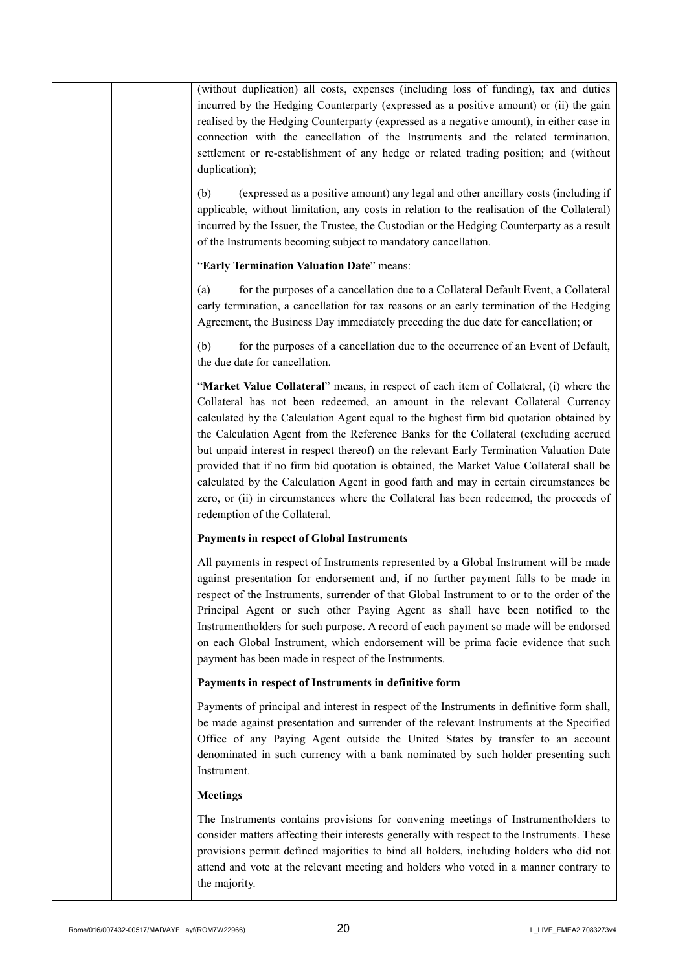|  | <b>Meetings</b><br>The Instruments contains provisions for convening meetings of Instrumentholders to<br>consider matters affecting their interests generally with respect to the Instruments. These<br>provisions permit defined majorities to bind all holders, including holders who did not<br>attend and vote at the relevant meeting and holders who voted in a manner contrary to<br>the majority.                                                                                                                                                                                                                                                                                                                                                               |
|--|-------------------------------------------------------------------------------------------------------------------------------------------------------------------------------------------------------------------------------------------------------------------------------------------------------------------------------------------------------------------------------------------------------------------------------------------------------------------------------------------------------------------------------------------------------------------------------------------------------------------------------------------------------------------------------------------------------------------------------------------------------------------------|
|  | Payments of principal and interest in respect of the Instruments in definitive form shall,<br>be made against presentation and surrender of the relevant Instruments at the Specified<br>Office of any Paying Agent outside the United States by transfer to an account<br>denominated in such currency with a bank nominated by such holder presenting such<br>Instrument.                                                                                                                                                                                                                                                                                                                                                                                             |
|  | Payments in respect of Instruments in definitive form                                                                                                                                                                                                                                                                                                                                                                                                                                                                                                                                                                                                                                                                                                                   |
|  | All payments in respect of Instruments represented by a Global Instrument will be made<br>against presentation for endorsement and, if no further payment falls to be made in<br>respect of the Instruments, surrender of that Global Instrument to or to the order of the<br>Principal Agent or such other Paying Agent as shall have been notified to the<br>Instrumentholders for such purpose. A record of each payment so made will be endorsed<br>on each Global Instrument, which endorsement will be prima facie evidence that such<br>payment has been made in respect of the Instruments.                                                                                                                                                                     |
|  | <b>Payments in respect of Global Instruments</b>                                                                                                                                                                                                                                                                                                                                                                                                                                                                                                                                                                                                                                                                                                                        |
|  | "Market Value Collateral" means, in respect of each item of Collateral, (i) where the<br>Collateral has not been redeemed, an amount in the relevant Collateral Currency<br>calculated by the Calculation Agent equal to the highest firm bid quotation obtained by<br>the Calculation Agent from the Reference Banks for the Collateral (excluding accrued<br>but unpaid interest in respect thereof) on the relevant Early Termination Valuation Date<br>provided that if no firm bid quotation is obtained, the Market Value Collateral shall be<br>calculated by the Calculation Agent in good faith and may in certain circumstances be<br>zero, or (ii) in circumstances where the Collateral has been redeemed, the proceeds of<br>redemption of the Collateral. |
|  | for the purposes of a cancellation due to the occurrence of an Event of Default,<br>(b)<br>the due date for cancellation.                                                                                                                                                                                                                                                                                                                                                                                                                                                                                                                                                                                                                                               |
|  | for the purposes of a cancellation due to a Collateral Default Event, a Collateral<br>(a)<br>early termination, a cancellation for tax reasons or an early termination of the Hedging<br>Agreement, the Business Day immediately preceding the due date for cancellation; or                                                                                                                                                                                                                                                                                                                                                                                                                                                                                            |
|  | "Early Termination Valuation Date" means:                                                                                                                                                                                                                                                                                                                                                                                                                                                                                                                                                                                                                                                                                                                               |
|  | (expressed as a positive amount) any legal and other ancillary costs (including if<br>(b)<br>applicable, without limitation, any costs in relation to the realisation of the Collateral)<br>incurred by the Issuer, the Trustee, the Custodian or the Hedging Counterparty as a result<br>of the Instruments becoming subject to mandatory cancellation.                                                                                                                                                                                                                                                                                                                                                                                                                |
|  | (without duplication) all costs, expenses (including loss of funding), tax and duties<br>incurred by the Hedging Counterparty (expressed as a positive amount) or (ii) the gain<br>realised by the Hedging Counterparty (expressed as a negative amount), in either case in<br>connection with the cancellation of the Instruments and the related termination,<br>settlement or re-establishment of any hedge or related trading position; and (without<br>duplication);                                                                                                                                                                                                                                                                                               |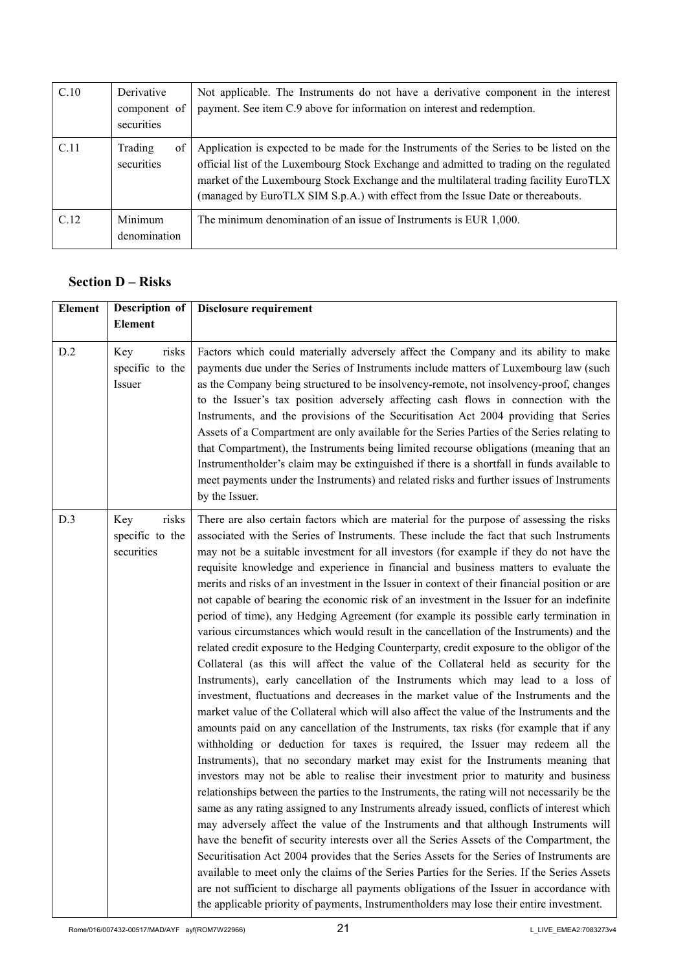| C.10 | Derivative<br>component of<br>securities | Not applicable. The Instruments do not have a derivative component in the interest<br>payment. See item C.9 above for information on interest and redemption.                                                                                                                                                                                                   |
|------|------------------------------------------|-----------------------------------------------------------------------------------------------------------------------------------------------------------------------------------------------------------------------------------------------------------------------------------------------------------------------------------------------------------------|
| C.11 | Trading<br>of<br>securities              | Application is expected to be made for the Instruments of the Series to be listed on the<br>official list of the Luxembourg Stock Exchange and admitted to trading on the regulated<br>market of the Luxembourg Stock Exchange and the multilateral trading facility EuroTLX<br>(managed by EuroTLX SIM S.p.A.) with effect from the Issue Date or thereabouts. |
| C.12 | Minimum<br>denomination                  | The minimum denomination of an issue of Instruments is EUR 1,000.                                                                                                                                                                                                                                                                                               |

# **Section D – Risks**

| <b>Element</b> | Description of                                | Disclosure requirement                                                                                                                                                                                                                                                                                                                                                                                                                                                                                                                                                                                                                                                                                                                                                                                                                                                                                                                                                                                                                                                                                                                                                                                                                                                                                                                                                                                                                                                                                                                                                                                                                                                                                                                                                                                                                                                                                                                                                                                                                                                                                                                                                                                                                                                                                                                                      |
|----------------|-----------------------------------------------|-------------------------------------------------------------------------------------------------------------------------------------------------------------------------------------------------------------------------------------------------------------------------------------------------------------------------------------------------------------------------------------------------------------------------------------------------------------------------------------------------------------------------------------------------------------------------------------------------------------------------------------------------------------------------------------------------------------------------------------------------------------------------------------------------------------------------------------------------------------------------------------------------------------------------------------------------------------------------------------------------------------------------------------------------------------------------------------------------------------------------------------------------------------------------------------------------------------------------------------------------------------------------------------------------------------------------------------------------------------------------------------------------------------------------------------------------------------------------------------------------------------------------------------------------------------------------------------------------------------------------------------------------------------------------------------------------------------------------------------------------------------------------------------------------------------------------------------------------------------------------------------------------------------------------------------------------------------------------------------------------------------------------------------------------------------------------------------------------------------------------------------------------------------------------------------------------------------------------------------------------------------------------------------------------------------------------------------------------------------|
|                | <b>Element</b>                                |                                                                                                                                                                                                                                                                                                                                                                                                                                                                                                                                                                                                                                                                                                                                                                                                                                                                                                                                                                                                                                                                                                                                                                                                                                                                                                                                                                                                                                                                                                                                                                                                                                                                                                                                                                                                                                                                                                                                                                                                                                                                                                                                                                                                                                                                                                                                                             |
| D.2            | Key<br>risks<br>specific to the<br>Issuer     | Factors which could materially adversely affect the Company and its ability to make<br>payments due under the Series of Instruments include matters of Luxembourg law (such<br>as the Company being structured to be insolvency-remote, not insolvency-proof, changes<br>to the Issuer's tax position adversely affecting cash flows in connection with the<br>Instruments, and the provisions of the Securitisation Act 2004 providing that Series<br>Assets of a Compartment are only available for the Series Parties of the Series relating to<br>that Compartment), the Instruments being limited recourse obligations (meaning that an<br>Instrumentholder's claim may be extinguished if there is a shortfall in funds available to<br>meet payments under the Instruments) and related risks and further issues of Instruments<br>by the Issuer.                                                                                                                                                                                                                                                                                                                                                                                                                                                                                                                                                                                                                                                                                                                                                                                                                                                                                                                                                                                                                                                                                                                                                                                                                                                                                                                                                                                                                                                                                                    |
| D.3            | risks<br>Key<br>specific to the<br>securities | There are also certain factors which are material for the purpose of assessing the risks<br>associated with the Series of Instruments. These include the fact that such Instruments<br>may not be a suitable investment for all investors (for example if they do not have the<br>requisite knowledge and experience in financial and business matters to evaluate the<br>merits and risks of an investment in the Issuer in context of their financial position or are<br>not capable of bearing the economic risk of an investment in the Issuer for an indefinite<br>period of time), any Hedging Agreement (for example its possible early termination in<br>various circumstances which would result in the cancellation of the Instruments) and the<br>related credit exposure to the Hedging Counterparty, credit exposure to the obligor of the<br>Collateral (as this will affect the value of the Collateral held as security for the<br>Instruments), early cancellation of the Instruments which may lead to a loss of<br>investment, fluctuations and decreases in the market value of the Instruments and the<br>market value of the Collateral which will also affect the value of the Instruments and the<br>amounts paid on any cancellation of the Instruments, tax risks (for example that if any<br>withholding or deduction for taxes is required, the Issuer may redeem all the<br>Instruments), that no secondary market may exist for the Instruments meaning that<br>investors may not be able to realise their investment prior to maturity and business<br>relationships between the parties to the Instruments, the rating will not necessarily be the<br>same as any rating assigned to any Instruments already issued, conflicts of interest which<br>may adversely affect the value of the Instruments and that although Instruments will<br>have the benefit of security interests over all the Series Assets of the Compartment, the<br>Securitisation Act 2004 provides that the Series Assets for the Series of Instruments are<br>available to meet only the claims of the Series Parties for the Series. If the Series Assets<br>are not sufficient to discharge all payments obligations of the Issuer in accordance with<br>the applicable priority of payments, Instrumentholders may lose their entire investment. |